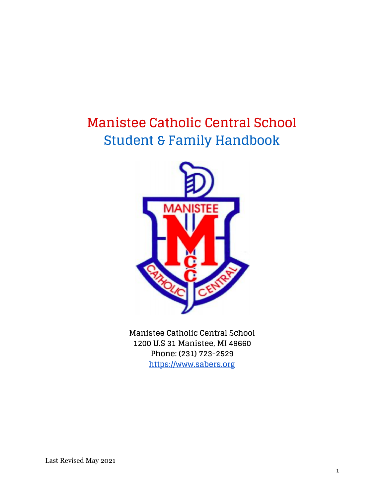## **Manistee Catholic Central School Student & Family Handbook**



**Manistee Catholic Central School 1200 U.S 31 Manistee, MI 49660 Phone: (231) 723-2529 [https://www.sabers.org](https://www.sabers.org/sports)**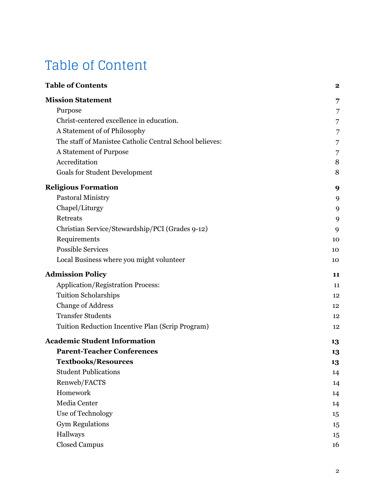# Table of Content

| <b>Table of Contents</b>                                | $\mathbf 2$ |
|---------------------------------------------------------|-------------|
| <b>Mission Statement</b>                                | 7           |
| Purpose                                                 | 7           |
| Christ-centered excellence in education.                | 7           |
| A Statement of of Philosophy                            | 7           |
| The staff of Manistee Catholic Central School believes: | 7           |
| A Statement of Purpose                                  | 7           |
| Accreditation                                           | 8           |
| <b>Goals for Student Development</b>                    | 8           |
| <b>Religious Formation</b>                              | 9           |
| <b>Pastoral Ministry</b>                                | 9           |
| Chapel/Liturgy                                          | 9           |
| Retreats                                                | 9           |
| Christian Service/Stewardship/PCI (Grades 9-12)         | 9           |
| Requirements                                            | 10          |
| <b>Possible Services</b>                                | 10          |
| Local Business where you might volunteer                | 10          |
| <b>Admission Policy</b>                                 | 11          |
| Application/Registration Process:                       | 11          |
| <b>Tuition Scholarships</b>                             | 12          |
| <b>Change of Address</b>                                | 12          |
| <b>Transfer Students</b>                                | 12          |
| Tuition Reduction Incentive Plan (Scrip Program)        | 12          |
| <b>Academic Student Information</b>                     | 13          |
| <b>Parent-Teacher Conferences</b>                       | 13          |
| <b>Textbooks/Resources</b>                              | 13          |
| <b>Student Publications</b>                             | 14          |
| Renweb/FACTS                                            | 14          |
| Homework                                                | 14          |
| Media Center                                            | 14          |
| Use of Technology                                       | 15          |
| <b>Gym Regulations</b>                                  | 15          |
| Hallways                                                | 15          |
| <b>Closed Campus</b>                                    | 16          |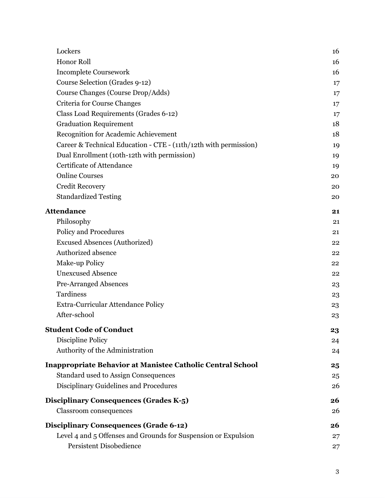| Lockers                                                           | 16      |
|-------------------------------------------------------------------|---------|
| <b>Honor Roll</b>                                                 | 16      |
| <b>Incomplete Coursework</b>                                      | 16      |
| Course Selection (Grades 9-12)                                    | 17      |
| Course Changes (Course Drop/Adds)                                 | 17      |
| Criteria for Course Changes                                       | $17 \,$ |
| Class Load Requirements (Grades 6-12)                             | 17      |
| <b>Graduation Requirement</b>                                     | 18      |
| Recognition for Academic Achievement                              | 18      |
| Career & Technical Education - CTE - (11th/12th with permission)  | 19      |
| Dual Enrollment (10th-12th with permission)                       | 19      |
| Certificate of Attendance                                         | 19      |
| <b>Online Courses</b>                                             | 20      |
| <b>Credit Recovery</b>                                            | 20      |
| <b>Standardized Testing</b>                                       | 20      |
| <b>Attendance</b>                                                 | 21      |
| Philosophy                                                        | 21      |
| Policy and Procedures                                             | 21      |
| <b>Excused Absences (Authorized)</b>                              | 22      |
| Authorized absence                                                | 22      |
| Make-up Policy                                                    | 22      |
| <b>Unexcused Absence</b>                                          | 22      |
| <b>Pre-Arranged Absences</b>                                      | 23      |
| Tardiness                                                         | 23      |
| Extra-Curricular Attendance Policy                                | 23      |
| After-school                                                      | 23      |
| <b>Student Code of Conduct</b>                                    | 23      |
| Discipline Policy                                                 | 24      |
| Authority of the Administration                                   | 24      |
| <b>Inappropriate Behavior at Manistee Catholic Central School</b> | 25      |
| <b>Standard used to Assign Consequences</b>                       | 25      |
| Disciplinary Guidelines and Procedures                            | 26      |
| Disciplinary Consequences (Grades K-5)                            | 26      |
| Classroom consequences                                            | 26      |
| <b>Disciplinary Consequences (Grade 6-12)</b>                     | 26      |
| Level 4 and 5 Offenses and Grounds for Suspension or Expulsion    | 27      |
| <b>Persistent Disobedience</b>                                    | 27      |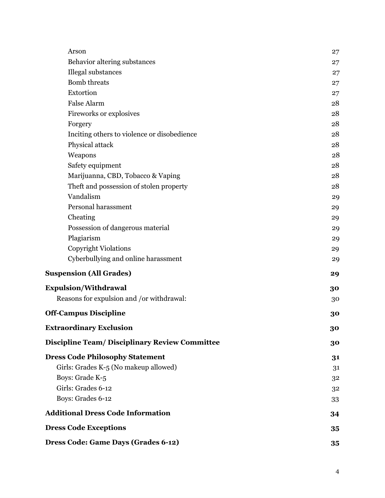| Arson                                                 | 27 |
|-------------------------------------------------------|----|
| Behavior altering substances                          | 27 |
| Illegal substances                                    | 27 |
| <b>Bomb</b> threats                                   | 27 |
| Extortion                                             | 27 |
| <b>False Alarm</b>                                    | 28 |
| Fireworks or explosives                               | 28 |
| Forgery                                               | 28 |
| Inciting others to violence or disobedience           | 28 |
| Physical attack                                       | 28 |
| Weapons                                               | 28 |
| Safety equipment                                      | 28 |
| Marijuanna, CBD, Tobacco & Vaping                     | 28 |
| Theft and possession of stolen property               | 28 |
| Vandalism                                             | 29 |
| Personal harassment                                   | 29 |
| Cheating                                              | 29 |
| Possession of dangerous material                      | 29 |
| Plagiarism                                            | 29 |
| <b>Copyright Violations</b>                           | 29 |
| Cyberbullying and online harassment                   | 29 |
| <b>Suspension (All Grades)</b>                        | 29 |
| <b>Expulsion/Withdrawal</b>                           | 30 |
| Reasons for expulsion and /or withdrawal:             | 30 |
| <b>Off-Campus Discipline</b>                          | 30 |
| <b>Extraordinary Exclusion</b>                        | 30 |
| <b>Discipline Team/ Disciplinary Review Committee</b> | 30 |
| <b>Dress Code Philosophy Statement</b>                | 31 |
| Girls: Grades K-5 (No makeup allowed)                 | 31 |
| Boys: Grade K-5                                       | 32 |
| Girls: Grades 6-12                                    | 32 |
| Boys: Grades 6-12                                     | 33 |
| <b>Additional Dress Code Information</b>              | 34 |
| <b>Dress Code Exceptions</b>                          | 35 |
| Dress Code: Game Days (Grades 6-12)                   | 35 |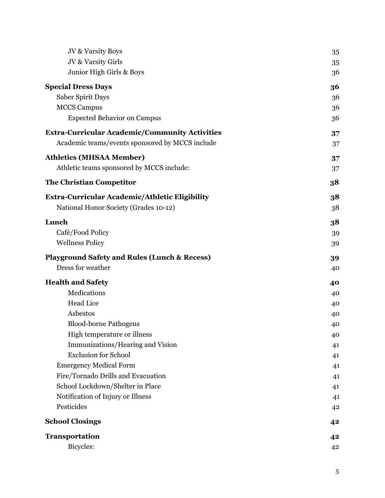| JV & Varsity Boys                                       | 35 |
|---------------------------------------------------------|----|
| JV & Varsity Girls                                      | 35 |
| Junior High Girls & Boys                                | 36 |
| <b>Special Dress Days</b>                               | 36 |
| Saber Spirit Days                                       | 36 |
| <b>MCCS Campus</b>                                      | 36 |
| <b>Expected Behavior on Campus</b>                      | 36 |
| <b>Extra-Curricular Academic/Community Activities</b>   | 37 |
| Academic teams/events sponsored by MCCS include         | 37 |
| <b>Athletics (MHSAA Member)</b>                         | 37 |
| Athletic teams sponsored by MCCS include:               | 37 |
| <b>The Christian Competitor</b>                         | 38 |
| Extra-Curricular Academic/Athletic Eligibility          | 38 |
| National Honor Society (Grades 10-12)                   | 38 |
| Lunch                                                   | 38 |
| Café/Food Policy                                        | 39 |
| <b>Wellness Policy</b>                                  | 39 |
| <b>Playground Safety and Rules (Lunch &amp; Recess)</b> | 39 |
| Dress for weather                                       | 40 |
| <b>Health and Safety</b>                                | 40 |
| Medications                                             | 40 |
| <b>Head Lice</b>                                        | 40 |
| Asbestos                                                | 40 |
| <b>Blood-borne Pathogens</b>                            | 40 |
| High temperature or illness                             | 40 |
| Immunizations/Hearing and Vision                        | 41 |
| <b>Exclusion for School</b>                             | 41 |
| <b>Emergency Medical Form</b>                           | 41 |
| Fire/Tornado Drills and Evacuation                      | 41 |
| School Lockdown/Shelter in Place                        | 41 |
| Notification of Injury or Illness                       | 41 |
| Pesticides                                              | 42 |
| <b>School Closings</b>                                  | 42 |
| <b>Transportation</b>                                   | 42 |
| Bicycles:                                               | 42 |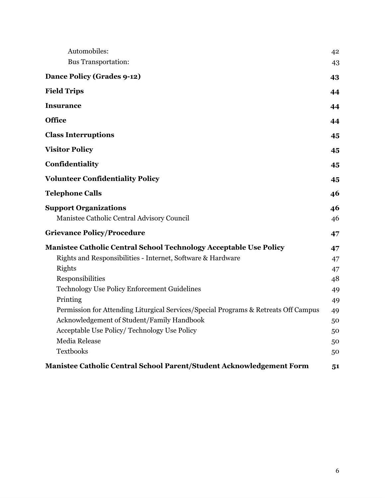| Automobiles:<br><b>Bus Transportation:</b>                                          | 42<br>43 |
|-------------------------------------------------------------------------------------|----------|
| <b>Dance Policy (Grades 9-12)</b>                                                   | 43       |
| <b>Field Trips</b>                                                                  | 44       |
| <b>Insurance</b>                                                                    | 44       |
| <b>Office</b>                                                                       | 44       |
| <b>Class Interruptions</b>                                                          | 45       |
| <b>Visitor Policy</b>                                                               | 45       |
| Confidentiality                                                                     | 45       |
| <b>Volunteer Confidentiality Policy</b>                                             | 45       |
| <b>Telephone Calls</b>                                                              | 46       |
| <b>Support Organizations</b>                                                        | 46       |
| Manistee Catholic Central Advisory Council                                          | 46       |
| <b>Grievance Policy/Procedure</b>                                                   | 47       |
| Manistee Catholic Central School Technology Acceptable Use Policy                   | 47       |
| Rights and Responsibilities - Internet, Software & Hardware                         | 47       |
| Rights                                                                              | 47       |
| Responsibilities                                                                    | 48       |
| Technology Use Policy Enforcement Guidelines                                        | 49       |
| Printing                                                                            | 49       |
| Permission for Attending Liturgical Services/Special Programs & Retreats Off Campus | 49       |
| Acknowledgement of Student/Family Handbook                                          | 50       |
| Acceptable Use Policy/ Technology Use Policy                                        | 50       |
| Media Release                                                                       | 50       |
| <b>Textbooks</b>                                                                    | 50       |
| Manistee Catholic Central School Parent/Student Acknowledgement Form                | 51       |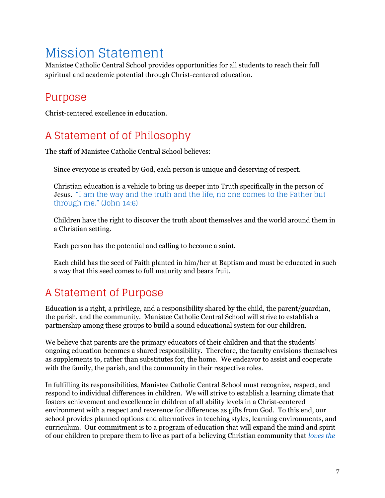## <span id="page-6-0"></span>Mission Statement

Manistee Catholic Central School provides opportunities for all students to reach their full spiritual and academic potential through Christ-centered education.

### <span id="page-6-1"></span>Purpose

<span id="page-6-3"></span><span id="page-6-2"></span>Christ-centered excellence in education.

### A Statement of of Philosophy

<span id="page-6-4"></span>The staff of Manistee Catholic Central School believes:

Since everyone is created by God, each person is unique and deserving of respect.

Christian education is a vehicle to bring us deeper into Truth specifically in the person of Jesus. "I am the way and the truth and the life, no one comes to the Father but through me." (John 14:6)

Children have the right to discover the truth about themselves and the world around them in a Christian setting.

Each person has the potential and calling to become a saint.

Each child has the seed of Faith planted in him/her at Baptism and must be educated in such a way that this seed comes to full maturity and bears fruit.

### <span id="page-6-5"></span>A Statement of Purpose

Education is a right, a privilege, and a responsibility shared by the child, the parent/guardian, the parish, and the community. Manistee Catholic Central School will strive to establish a partnership among these groups to build a sound educational system for our children.

We believe that parents are the primary educators of their children and that the students' ongoing education becomes a shared responsibility. Therefore, the faculty envisions themselves as supplements to, rather than substitutes for, the home. We endeavor to assist and cooperate with the family, the parish, and the community in their respective roles.

In fulfilling its responsibilities, Manistee Catholic Central School must recognize, respect, and respond to individual differences in children. We will strive to establish a learning climate that fosters achievement and excellence in children of all ability levels in a Christ-centered environment with a respect and reverence for differences as gifts from God. To this end, our school provides planned options and alternatives in teaching styles, learning environments, and curriculum. Our commitment is to a program of education that will expand the mind and spirit of our children to prepare them to live as part of a believing Christian community that *loves the*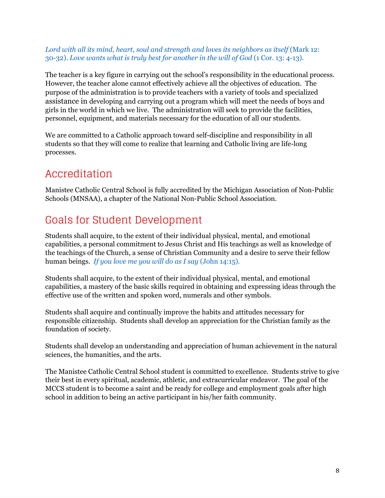#### *Lord with all its mind, heart, soul and strength and loves its neighbors as itself* (Mark 12: 30-32). *Love wants what is truly best for another in the will of God* (1 Cor. 13: 4-13).

The teacher is a key figure in carrying out the school's responsibility in the educational process. However, the teacher alone cannot effectively achieve all the objectives of education. The purpose of the administration is to provide teachers with a variety of tools and specialized assistance in developing and carrying out a program which will meet the needs of boys and girls in the world in which we live. The administration will seek to provide the facilities, personnel, equipment, and materials necessary for the education of all our students.

We are committed to a Catholic approach toward self-discipline and responsibility in all students so that they will come to realize that learning and Catholic living are life-long processes.

### <span id="page-7-0"></span>Accreditation

Manistee Catholic Central School is fully accredited by the Michigan Association of Non-Public Schools (MNSAA), a chapter of the National Non-Public School Association.

### <span id="page-7-1"></span>Goals for Student Development

Students shall acquire, to the extent of their individual physical, mental, and emotional capabilities, a personal commitment to Jesus Christ and His teachings as well as knowledge of the teachings of the Church, a sense of Christian Community and a desire to serve their fellow human beings. *If you love me you will do as I say* (John 14:15).

Students shall acquire, to the extent of their individual physical, mental, and emotional capabilities, a mastery of the basic skills required in obtaining and expressing ideas through the effective use of the written and spoken word, numerals and other symbols.

Students shall acquire and continually improve the habits and attitudes necessary for responsible citizenship. Students shall develop an appreciation for the Christian family as the foundation of society.

Students shall develop an understanding and appreciation of human achievement in the natural sciences, the humanities, and the arts.

The Manistee Catholic Central School student is committed to excellence. Students strive to give their best in every spiritual, academic, athletic, and extracurricular endeavor. The goal of the MCCS student is to become a saint and be ready for college and employment goals after high school in addition to being an active participant in his/her faith community.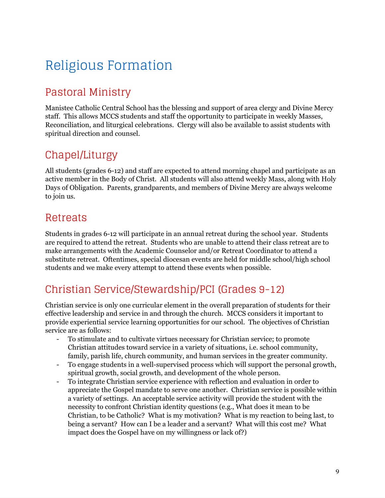# <span id="page-8-0"></span>Religious Formation

### <span id="page-8-1"></span>Pastoral Ministry

Manistee Catholic Central School has the blessing and support of area clergy and Divine Mercy staff. This allows MCCS students and staff the opportunity to participate in weekly Masses, Reconciliation, and liturgical celebrations. Clergy will also be available to assist students with spiritual direction and counsel.

### <span id="page-8-2"></span>Chapel/Liturgy

All students (grades 6-12) and staff are expected to attend morning chapel and participate as an active member in the Body of Christ. All students will also attend weekly Mass, along with Holy Days of Obligation. Parents, grandparents, and members of Divine Mercy are always welcome to join us.

### <span id="page-8-3"></span>Retreats

Students in grades 6-12 will participate in an annual retreat during the school year. Students are required to attend the retreat. Students who are unable to attend their class retreat are to make arrangements with the Academic Counselor and/or Retreat Coordinator to attend a substitute retreat. Oftentimes, special diocesan events are held for middle school/high school students and we make every attempt to attend these events when possible.

### <span id="page-8-4"></span>Christian Service/Stewardship/PCI (Grades 9-12)

Christian service is only one curricular element in the overall preparation of students for their effective leadership and service in and through the church. MCCS considers it important to provide experiential service learning opportunities for our school. The objectives of Christian service are as follows:

- To stimulate and to cultivate virtues necessary for Christian service; to promote Christian attitudes toward service in a variety of situations, i.e. school community, family, parish life, church community, and human services in the greater community.
- To engage students in a well-supervised process which will support the personal growth, spiritual growth, social growth, and development of the whole person.
- To integrate Christian service experience with reflection and evaluation in order to appreciate the Gospel mandate to serve one another. Christian service is possible within a variety of settings. An acceptable service activity will provide the student with the necessity to confront Christian identity questions (e.g., What does it mean to be Christian, to be Catholic? What is my motivation? What is my reaction to being last, to being a servant? How can I be a leader and a servant? What will this cost me? What impact does the Gospel have on my willingness or lack of?)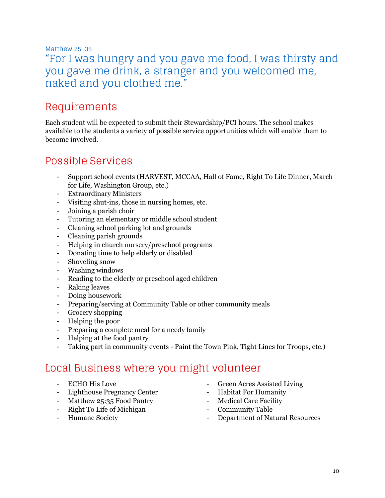#### Matthew 25: 35

### "For I was hungry and you gave me food, I was thirsty and you gave me drink, a stranger and you welcomed me, naked and you clothed me."

### <span id="page-9-0"></span>Requirements

Each student will be expected to submit their Stewardship/PCI hours. The school makes available to the students a variety of possible service opportunities which will enable them to become involved.

### <span id="page-9-1"></span>Possible Services

- Support school events (HARVEST, MCCAA, Hall of Fame, Right To Life Dinner, March for Life, Washington Group, etc.)
- Extraordinary Ministers
- Visiting shut-ins, those in nursing homes, etc.
- Joining a parish choir
- Tutoring an elementary or middle school student
- Cleaning school parking lot and grounds
- Cleaning parish grounds
- Helping in church nursery/preschool programs
- Donating time to help elderly or disabled
- Shoveling snow
- Washing windows
- Reading to the elderly or preschool aged children
- Raking leaves
- Doing housework
- Preparing/serving at Community Table or other community meals
- Grocery shopping
- Helping the poor
- Preparing a complete meal for a needy family
- Helping at the food pantry
- Taking part in community events Paint the Town Pink, Tight Lines for Troops, etc.)

### <span id="page-9-2"></span>Local Business where you might volunteer

- ECHO His Love
- Lighthouse Pregnancy Center
- Matthew 25:35 Food Pantry
- Right To Life of Michigan
- Humane Society
- Green Acres Assisted Living
- Habitat For Humanity
- Medical Care Facility
- Community Table
- Department of Natural Resources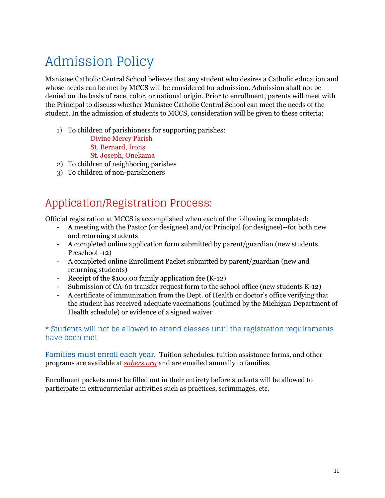# <span id="page-10-0"></span>Admission Policy

Manistee Catholic Central School believes that any student who desires a Catholic education and whose needs can be met by MCCS will be considered for admission. Admission shall not be denied on the basis of race, color, or national origin. Prior to enrollment, parents will meet with the Principal to discuss whether Manistee Catholic Central School can meet the needs of the student. In the admission of students to MCCS, consideration will be given to these criteria:

- 1) To children of parishioners for supporting parishes:
	- Divine Mercy Parish
	- St. Bernard, Irons
	- St. Joseph, Onekama
- 2) To children of neighboring parishes
- 3) To children of non-parishioners

### <span id="page-10-1"></span>Application/Registration Process:

Official registration at MCCS is accomplished when each of the following is completed:

- A meeting with the Pastor (or designee) and/or Principal (or designee)--for both new and returning students
- A completed online application form submitted by parent/guardian (new students Preschool -12)
- A completed online Enrollment Packet submitted by parent/guardian (new and returning students)
- Receipt of the \$100.00 family application fee (K-12)
- Submission of CA-60 transfer request form to the school office (new students K-12)
- A certificate of immunization from the Dept. of Health or doctor's office verifying that the student has received adequate vaccinations (outlined by the Michigan Department of Health schedule) or evidence of a signed waiver

\* Students will not be allowed to attend classes until the registration requirements have been met.

**Families must enroll each year.** Tuition schedules, tuition assistance forms, and other programs are available at *sabers.org* and are emailed annually to families.

Enrollment packets must be filled out in their entirety before students will be allowed to participate in extracurricular activities such as practices, scrimmages, etc.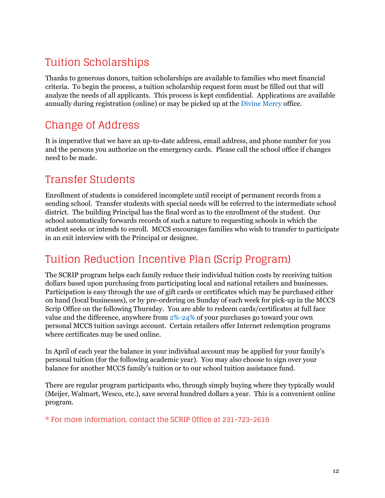## <span id="page-11-0"></span>Tuition Scholarships

Thanks to generous donors, tuition scholarships are available to families who meet financial criteria. To begin the process, a tuition scholarship request form must be filled out that will analyze the needs of all applicants. This process is kept confidential. Applications are available annually during registration (online) or may be picked up at the Divine Mercy office.

### <span id="page-11-1"></span>Change of Address

It is imperative that we have an up-to-date address, email address, and phone number for you and the persons you authorize on the emergency cards. Please call the school office if changes need to be made.

### <span id="page-11-2"></span>Transfer Students

Enrollment of students is considered incomplete until receipt of permanent records from a sending school. Transfer students with special needs will be referred to the intermediate school district. The building Principal has the final word as to the enrollment of the student. Our school automatically forwards records of such a nature to requesting schools in which the student seeks or intends to enroll. MCCS encourages families who wish to transfer to participate in an exit interview with the Principal or designee.

### <span id="page-11-3"></span>Tuition Reduction Incentive Plan (Scrip Program)

The SCRIP program helps each family reduce their individual tuition costs by receiving tuition dollars based upon purchasing from participating local and national retailers and businesses. Participation is easy through the use of gift cards or certificates which may be purchased either on hand (local businesses), or by pre-ordering on Sunday of each week for pick-up in the MCCS Scrip Office on the following Thursday. You are able to redeem cards/certificates at full face value and the difference, anywhere from 2%-24% of your purchases go toward your own personal MCCS tuition savings account. Certain retailers offer Internet redemption programs where certificates may be used online.

In April of each year the balance in your individual account may be applied for your family's personal tuition (for the following academic year). You may also choose to sign over your balance for another MCCS family's tuition or to our school tuition assistance fund.

There are regular program participants who, through simply buying where they typically would (Meijer, Walmart, Wesco, etc.), save several hundred dollars a year. This is a convenient online program.

\* For more information, contact the SCRIP Office at 231-723-2619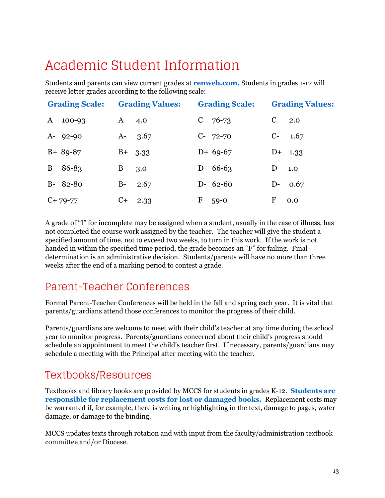## <span id="page-12-0"></span>Academic Student Information

Students and parents can view current grades at **renweb.com.** Students in grades 1-12 will receive letter grades according to the following scale:

| <b>Grading Scale:</b>      | <b>Grading Values:</b> | <b>Grading Scale:</b> | <b>Grading Values:</b> |
|----------------------------|------------------------|-----------------------|------------------------|
| $\mathbf{A}$<br>$100 - 93$ | $\mathbf{A}$<br>4.0    | $C$ 76-73             | $\mathcal{C}$<br>2.0   |
| $A - 92 - 90$              | $A - 3.67$             | $C-72-70$             | $C-1.67$               |
| $B+ 89-87$                 | $B+ 3.33$              | $D+ 69-67$            | $D+ 1.33$              |
| B 86-83                    | B<br>3.0               | $D = 66-63$           | D<br>1.0               |
| $B - 82 - 80$              | $B-$<br>2.67           | $D - 62 - 60$         | $D-0.67$               |
| $C+79-77$                  | $C+$ 2.33              | F<br>$59 - 0$         | F<br>0.0               |

A grade of "I" for incomplete may be assigned when a student, usually in the case of illness, has not completed the course work assigned by the teacher. The teacher will give the student a specified amount of time, not to exceed two weeks, to turn in this work. If the work is not handed in within the specified time period, the grade becomes an "F" for failing. Final determination is an administrative decision. Students/parents will have no more than three weeks after the end of a marking period to contest a grade.

### <span id="page-12-1"></span>Parent-Teacher Conferences

Formal Parent-Teacher Conferences will be held in the fall and spring each year. It is vital that parents/guardians attend those conferences to monitor the progress of their child.

Parents/guardians are welcome to meet with their child's teacher at any time during the school year to monitor progress. Parents/guardians concerned about their child's progress should schedule an appointment to meet the child's teacher first. If necessary, parents/guardians may schedule a meeting with the Principal after meeting with the teacher.

### <span id="page-12-2"></span>Textbooks/Resources

Textbooks and library books are provided by MCCS for students in grades K-12. **Students are responsible for replacement costs for lost or damaged books.** Replacement costs may be warranted if, for example, there is writing or highlighting in the text, damage to pages, water damage, or damage to the binding.

MCCS updates texts through rotation and with input from the faculty/administration textbook committee and/or Diocese.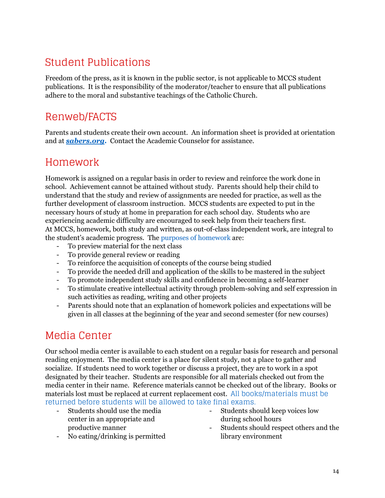### <span id="page-13-0"></span>Student Publications

Freedom of the press, as it is known in the public sector, is not applicable to MCCS student publications. It is the responsibility of the moderator/teacher to ensure that all publications adhere to the moral and substantive teachings of the Catholic Church.

### <span id="page-13-1"></span>Renweb/FACTS

Parents and students create their own account. An information sheet is provided at orientation and at *sabers.org.* Contact the Academic Counselor for assistance.

### <span id="page-13-2"></span>Homework

Homework is assigned on a regular basis in order to review and reinforce the work done in school. Achievement cannot be attained without study. Parents should help their child to understand that the study and review of assignments are needed for practice, as well as the further development of classroom instruction. MCCS students are expected to put in the necessary hours of study at home in preparation for each school day. Students who are experiencing academic difficulty are encouraged to seek help from their teachers first. At MCCS, homework, both study and written, as out-of-class independent work, are integral to the student's academic progress. The purposes of homework are:

- To preview material for the next class
- To provide general review or reading
- To reinforce the acquisition of concepts of the course being studied
- To provide the needed drill and application of the skills to be mastered in the subject
- To promote independent study skills and confidence in becoming a self-learner
- To stimulate creative intellectual activity through problem-solving and self expression in such activities as reading, writing and other projects
- Parents should note that an explanation of homework policies and expectations will be given in all classes at the beginning of the year and second semester (for new courses)

### <span id="page-13-3"></span>Media Center

Our school media center is available to each student on a regular basis for research and personal reading enjoyment. The media center is a place for silent study, not a place to gather and socialize. If students need to work together or discuss a project, they are to work in a spot designated by their teacher. Students are responsible for all materials checked out from the media center in their name. Reference materials cannot be checked out of the library. Books or materials lost must be replaced at current replacement cost. All books/materials must be returned before students will be allowed to take final exams.

- Students should use the media center in an appropriate and productive manner
- Students should keep voices low during school hours
- Students should respect others and the library environment
- No eating/drinking is permitted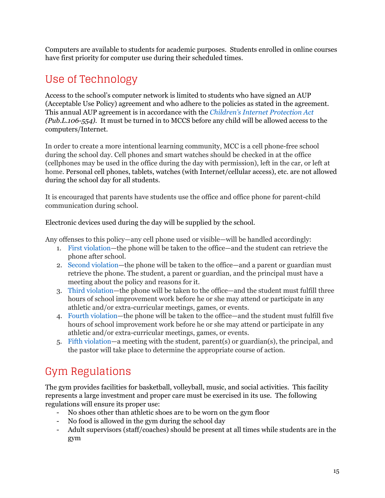Computers are available to students for academic purposes. Students enrolled in online courses have first priority for computer use during their scheduled times.

### <span id="page-14-0"></span>Use of Technology

Access to the school's computer network is limited to students who have signed an AUP (Acceptable Use Policy) agreement and who adhere to the policies as stated in the agreement. This annual AUP agreement is in accordance with the *Children's Internet Protection Act (Pub.L.106-554)*. It must be turned in to MCCS before any child will be allowed access to the computers/Internet.

In order to create a more intentional learning community, MCC is a cell phone-free school during the school day. Cell phones and smart watches should be checked in at the office (cellphones may be used in the office during the day with permission), left in the car, or left at home. Personal cell phones, tablets, watches (with Internet/cellular access), etc. are not allowed during the school day for all students.

It is encouraged that parents have students use the office and office phone for parent-child communication during school.

Electronic devices used during the day will be supplied by the school.

Any offenses to this policy—any cell phone used or visible—will be handled accordingly:

- 1. First violation—the phone will be taken to the office—and the student can retrieve the phone after school.
- 2. Second violation—the phone will be taken to the office—and a parent or guardian must retrieve the phone. The student, a parent or guardian, and the principal must have a meeting about the policy and reasons for it.
- 3. Third violation—the phone will be taken to the office—and the student must fulfill three hours of school improvement work before he or she may attend or participate in any athletic and/or extra-curricular meetings, games, or events.
- 4. Fourth violation—the phone will be taken to the office—and the student must fulfill five hours of school improvement work before he or she may attend or participate in any athletic and/or extra-curricular meetings, games, or events.
- 5. Fifth violation—a meeting with the student, parent(s) or guardian(s), the principal, and the pastor will take place to determine the appropriate course of action.

### <span id="page-14-1"></span>Gym Regulations

The gym provides facilities for basketball, volleyball, music, and social activities. This facility represents a large investment and proper care must be exercised in its use. The following regulations will ensure its proper use:

- No shoes other than athletic shoes are to be worn on the gym floor
- No food is allowed in the gym during the school day
- Adult supervisors (staff/coaches) should be present at all times while students are in the gym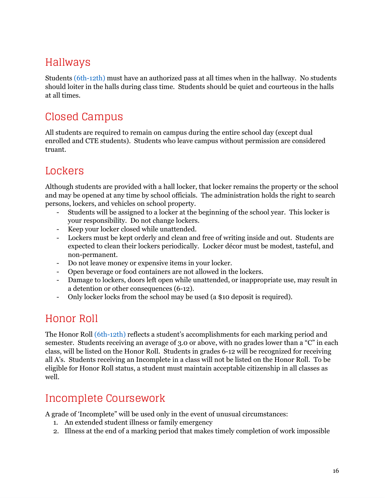### <span id="page-15-0"></span>Hallways

Students (6th-12th) must have an authorized pass at all times when in the hallway. No students should loiter in the halls during class time. Students should be quiet and courteous in the halls at all times.

### <span id="page-15-1"></span>Closed Campus

All students are required to remain on campus during the entire school day (except dual enrolled and CTE students). Students who leave campus without permission are considered truant.

### <span id="page-15-2"></span>Lockers

Although students are provided with a hall locker, that locker remains the property or the school and may be opened at any time by school officials. The administration holds the right to search persons, lockers, and vehicles on school property.

- Students will be assigned to a locker at the beginning of the school year. This locker is your responsibility. Do not change lockers.
- Keep your locker closed while unattended.
- Lockers must be kept orderly and clean and free of writing inside and out. Students are expected to clean their lockers periodically. Locker décor must be modest, tasteful, and non-permanent.
- Do not leave money or expensive items in your locker.
- Open beverage or food containers are not allowed in the lockers.
- Damage to lockers, doors left open while unattended, or inappropriate use, may result in a detention or other consequences (6-12).
- Only locker locks from the school may be used (a \$10 deposit is required).

### <span id="page-15-3"></span>Honor Roll

The Honor Roll (6th-12th) reflects a student's accomplishments for each marking period and semester. Students receiving an average of 3.0 or above, with no grades lower than a "C" in each class, will be listed on the Honor Roll. Students in grades 6-12 will be recognized for receiving all A's. Students receiving an Incomplete in a class will not be listed on the Honor Roll. To be eligible for Honor Roll status, a student must maintain acceptable citizenship in all classes as well.

### <span id="page-15-4"></span>Incomplete Coursework

A grade of 'Incomplete" will be used only in the event of unusual circumstances:

- 1. An extended student illness or family emergency
- 2. Illness at the end of a marking period that makes timely completion of work impossible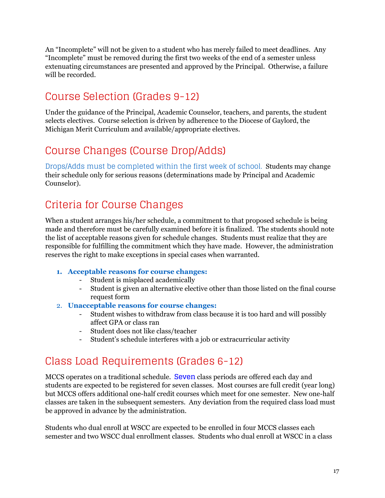An "Incomplete" will not be given to a student who has merely failed to meet deadlines. Any "Incomplete" must be removed during the first two weeks of the end of a semester unless extenuating circumstances are presented and approved by the Principal. Otherwise, a failure will be recorded.

### <span id="page-16-0"></span>Course Selection (Grades 9-12)

Under the guidance of the Principal, Academic Counselor, teachers, and parents, the student selects electives. Course selection is driven by adherence to the Diocese of Gaylord, the Michigan Merit Curriculum and available/appropriate electives.

### <span id="page-16-1"></span>Course Changes (Course Drop/Adds)

Drops/Adds must be completed within the first week of school. Students may change their schedule only for serious reasons (determinations made by Principal and Academic Counselor).

### <span id="page-16-2"></span>Criteria for Course Changes

When a student arranges his/her schedule, a commitment to that proposed schedule is being made and therefore must be carefully examined before it is finalized. The students should note the list of acceptable reasons given for schedule changes. Students must realize that they are responsible for fulfilling the commitment which they have made. However, the administration reserves the right to make exceptions in special cases when warranted.

#### **1. Acceptable reasons for course changes:**

- Student is misplaced academically
- Student is given an alternative elective other than those listed on the final course request form
- 2. **Unacceptable reasons for course changes:**
	- Student wishes to withdraw from class because it is too hard and will possibly affect GPA or class ran
	- Student does not like class/teacher
	- Student's schedule interferes with a job or extracurricular activity

### <span id="page-16-3"></span>Class Load Requirements (Grades 6-12)

MCCS operates on a traditional schedule. **Seven** class periods are offered each day and students are expected to be registered for seven classes. Most courses are full credit (year long) but MCCS offers additional one-half credit courses which meet for one semester. New one-half classes are taken in the subsequent semesters. Any deviation from the required class load must be approved in advance by the administration.

Students who dual enroll at WSCC are expected to be enrolled in four MCCS classes each semester and two WSCC dual enrollment classes. Students who dual enroll at WSCC in a class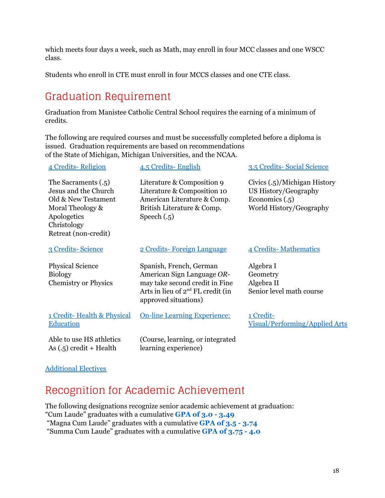which meets four days a week, such as Math, may enroll in four MCC classes and one WSCC class.

<span id="page-17-0"></span>Students who enroll in CTE must enroll in four MCCS classes and one CTE class.

### Graduation Requirement

Graduation from Manistee Catholic Central School requires the earning of a minimum of credits.

The following are required courses and must be successfully completed before a diploma is issued. Graduation requirements are based on recommendations of the State of Michigan, Michigan Universities, and the NCAA.

| 4 Credits-Religion                                                                                                                           | 4.5 Credits-English                                                                                                                                     | 3.5 Credits-Social Science                                                                          |
|----------------------------------------------------------------------------------------------------------------------------------------------|---------------------------------------------------------------------------------------------------------------------------------------------------------|-----------------------------------------------------------------------------------------------------|
| The Sacraments (.5)<br>Jesus and the Church<br>Old & New Testament<br>Moral Theology &<br>Apologetics<br>Christology<br>Retreat (non-credit) | Literature & Composition 9<br>Literature & Composition 10<br>American Literature & Comp.<br>British Literature & Comp.<br>Speech $(.5)$                 | Civics (.5)/Michigan History<br>US History/Geography<br>Economics $(.5)$<br>World History/Geography |
| 3 Credits-Science                                                                                                                            | 2 Credits-Foreign Language                                                                                                                              | 4 Credits-Mathematics                                                                               |
| <b>Physical Science</b><br><b>Biology</b><br><b>Chemistry or Physics</b>                                                                     | Spanish, French, German<br>American Sign Language OR-<br>may take second credit in Fine<br>Arts in lieu of $2nd FL credit (in)$<br>approved situations) | Algebra I<br>Geometry<br>Algebra II<br>Senior level math course                                     |
| 1 Credit-Health & Physical<br><b>Education</b>                                                                                               | <b>On-line Learning Experience:</b>                                                                                                                     | 1 Credit-<br>Visual/Performing/Applied Arts                                                         |
| Able to use HS athletics<br>As $(.5)$ credit + Health                                                                                        | (Course, learning, or integrated<br>learning experience)                                                                                                |                                                                                                     |
|                                                                                                                                              |                                                                                                                                                         |                                                                                                     |

#### <span id="page-17-1"></span>Additional Electives

### Recognition for Academic Achievement

The following designations recognize senior academic achievement at graduation: "Cum Laude" graduates with a cumulative **GPA of 3.0 - 3.49** "Magna Cum Laude" graduates with a cumulative **GPA of 3.5 - 3.74** "Summa Cum Laude" graduates with a cumulative **GPA of 3.75 - 4.0**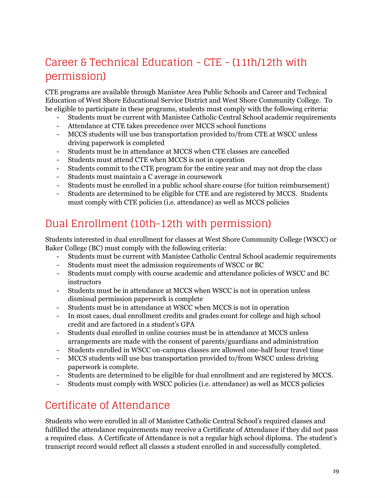### <span id="page-18-0"></span>Career & Technical Education - CTE - (11th/12th with permission)

CTE programs are available through Manistee Area Public Schools and Career and Technical Education of West Shore Educational Service District and West Shore Community College. To be eligible to participate in these programs, students must comply with the following criteria:

- Students must be current with Manistee Catholic Central School academic requirements
- Attendance at CTE takes precedence over MCCS school functions
- MCCS students will use bus transportation provided to/from CTE at WSCC unless driving paperwork is completed
- Students must be in attendance at MCCS when CTE classes are cancelled
- Students must attend CTE when MCCS is not in operation
- Students commit to the CTE program for the entire year and may not drop the class
- Students must maintain a C average in coursework
- Students must be enrolled in a public school share course (for tuition reimbursement)
- Students are determined to be eligible for CTE and are registered by MCCS. Students must comply with CTE policies (i.e. attendance) as well as MCCS policies

### <span id="page-18-1"></span>Dual Enrollment (10th-12th with permission)

Students interested in dual enrollment for classes at West Shore Community College (WSCC) or Baker College (BC) must comply with the following criteria:

- Students must be current with Manistee Catholic Central School academic requirements
- Students must meet the admission requirements of WSCC or BC
- Students must comply with course academic and attendance policies of WSCC and BC instructors
- Students must be in attendance at MCCS when WSCC is not in operation unless dismissal permission paperwork is complete
- Students must be in attendance at WSCC when MCCS is not in operation
- In most cases, dual enrollment credits and grades count for college and high school credit and are factored in a student's GPA
- Students dual enrolled in online courses must be in attendance at MCCS unless arrangements are made with the consent of parents/guardians and administration
- Students enrolled in WSCC on-campus classes are allowed one-half hour travel time
- MCCS students will use bus transportation provided to/from WSCC unless driving paperwork is complete.
- Students are determined to be eligible for dual enrollment and are registered by MCCS.
- Students must comply with WSCC policies (i.e. attendance) as well as MCCS policies

### <span id="page-18-2"></span>Certificate of Attendance

Students who were enrolled in all of Manistee Catholic Central School's required classes and fulfilled the attendance requirements may receive a Certificate of Attendance if they did not pass a required class. A Certificate of Attendance is not a regular high school diploma. The student's transcript record would reflect all classes a student enrolled in and successfully completed.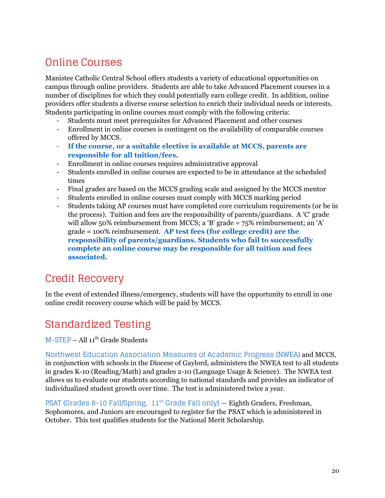### <span id="page-19-0"></span>Online Courses

Manistee Catholic Central School offers students a variety of educational opportunities on campus through online providers. Students are able to take Advanced Placement courses in a number of disciplines for which they could potentially earn college credit. In addition, online providers offer students a diverse course selection to enrich their individual needs or interests. Students participating in online courses must comply with the following criteria:

- Students must meet prerequisites for Advanced Placement and other courses
- Enrollment in online courses is contingent on the availability of comparable courses offered by MCCS.
- **If the course, or a suitable elective is available at MCCS, parents are responsible for all tuition/fees.**
- Enrollment in online courses requires administrative approval
- Students enrolled in online courses are expected to be in attendance at the scheduled times
- Final grades are based on the MCCS grading scale and assigned by the MCCS mentor
- Students enrolled in online courses must comply with MCCS marking period
- Students taking AP courses must have completed core curriculum requirements (or be in the process). Tuition and fees are the responsibility of parents/guardians. A 'C' grade will allow 50% reimbursement from MCCS; a 'B' grade = 75% reimbursement; an 'A' grade = 100% reimbursement. **AP test fees (for college credit) are the responsibility of parents/guardians. Students who fail to successfully complete an online course may be responsible for all tuition and fees associated.**

### <span id="page-19-1"></span>Credit Recovery

In the event of extended illness/emergency, students will have the opportunity to enroll in one online credit recovery course which will be paid by MCCS.

### <span id="page-19-2"></span>Standardized Testing

M-STEP - All 11<sup>th</sup> Grade Students

Northwest Education Association Measures of Academic Progress (NWEA) and MCCS, in conjunction with schools in the Diocese of Gaylord, administers the NWEA test to all students in grades K-10 (Reading/Math) and grades 2-10 (Language Usage & Science). The NWEA test allows us to evaluate our students according to national standards and provides an indicator of individualized student growth over time. The test is administered twice a year.

PSAT (Grades 8-10 Fall/Spring, 11<sup>th</sup> Grade Fall only) — **Eighth Graders, Freshman,** Sophomores, and Juniors are encouraged to register for the PSAT which is administered in October. This test qualifies students for the National Merit Scholarship.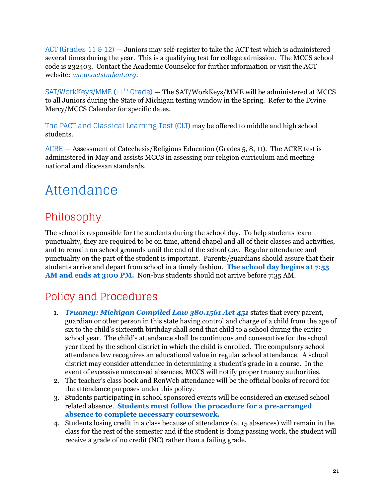ACT (Grades  $11 \& 12$ ) – Juniors may self-register to take the ACT test which is administered several times during the year. This is a qualifying test for college admission. The MCCS school code is 232403. Contact the Academic Counselor for further information or visit the ACT website: *[www.actstudent.org.](http://www.actstudent.org/)*

SAT/WorkKeys/MME (11<sup>th</sup> Grade) — The SAT/WorkKeys/MME will be administered at MCCS to all Juniors during the State of Michigan testing window in the Spring. Refer to the Divine Mercy/MCCS Calendar for specific dates.

The PACT and Classical Learning Test (CLT) may be offered to middle and high school students.

ACRE — Assessment of Catechesis/Religious Education (Grades 5, 8, 11). The ACRE test is administered in May and assists MCCS in assessing our religion curriculum and meeting national and diocesan standards.

## <span id="page-20-0"></span>Attendance

### <span id="page-20-1"></span>Philosophy

The school is responsible for the students during the school day. To help students learn punctuality, they are required to be on time, attend chapel and all of their classes and activities, and to remain on school grounds until the end of the school day. Regular attendance and punctuality on the part of the student is important. Parents/guardians should assure that their students arrive and depart from school in a timely fashion. **The school day begins at 7:55 AM and ends at 3:00 PM.** Non-bus students should not arrive before 7:35 AM.

### <span id="page-20-2"></span>Policy and Procedures

- 1. *Truancy: Michigan Compiled Law 380.1561 Act 451* states that every parent, guardian or other person in this state having control and charge of a child from the age of six to the child's sixteenth birthday shall send that child to a school during the entire school year. The child's attendance shall be continuous and consecutive for the school year fixed by the school district in which the child is enrolled. The compulsory school attendance law recognizes an educational value in regular school attendance. A school district may consider attendance in determining a student's grade in a course. In the event of excessive unexcused absences, MCCS will notify proper truancy authorities.
- 2. The teacher's class book and RenWeb attendance will be the official books of record for the attendance purposes under this policy.
- 3. Students participating in school sponsored events will be considered an excused school related absence. **Students must follow the procedure for a pre-arranged absence to complete necessary coursework.**
- 4. Students losing credit in a class because of attendance (at 15 absences) will remain in the class for the rest of the semester and if the student is doing passing work, the student will receive a grade of no credit (NC) rather than a failing grade.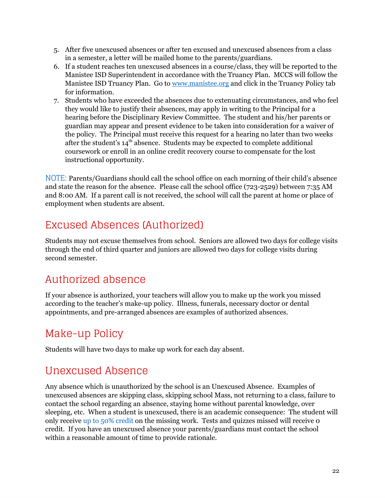- 5. After five unexcused absences or after ten excused and unexcused absences from a class in a semester, a letter will be mailed home to the parents/guardians.
- 6. If a student reaches ten unexcused absences in a course/class, they will be reported to the Manistee ISD Superintendent in accordance with the Truancy Plan. MCCS will follow the Manistee ISD Truancy Plan. Go to [www.manistee.org](http://www.manistee.org/) and click in the Truancy Policy tab for information.
- 7. Students who have exceeded the absences due to extenuating circumstances, and who feel they would like to justify their absences, may apply in writing to the Principal for a hearing before the Disciplinary Review Committee. The student and his/her parents or guardian may appear and present evidence to be taken into consideration for a waiver of the policy. The Principal must receive this request for a hearing no later than two weeks after the student's  $14<sup>th</sup>$  absence. Students may be expected to complete additional coursework or enroll in an online credit recovery course to compensate for the lost instructional opportunity.

NOTE: Parents/Guardians should call the school office on each morning of their child's absence and state the reason for the absence. Please call the school office (723-2529) between 7:35 AM and 8:00 AM. If a parent call is not received, the school will call the parent at home or place of employment when students are absent.

### <span id="page-21-0"></span>Excused Absences (Authorized)

Students may not excuse themselves from school. Seniors are allowed two days for college visits through the end of third quarter and juniors are allowed two days for college visits during second semester.

### <span id="page-21-1"></span>Authorized absence

If your absence is authorized, your teachers will allow you to make up the work you missed according to the teacher's make-up policy. Illness, funerals, necessary doctor or dental appointments, and pre-arranged absences are examples of authorized absences.

### <span id="page-21-2"></span>Make-up Policy

<span id="page-21-3"></span>Students will have two days to make up work for each day absent.

### Unexcused Absence

Any absence which is unauthorized by the school is an Unexcused Absence. Examples of unexcused absences are skipping class, skipping school Mass, not returning to a class, failure to contact the school regarding an absence, staying home without parental knowledge, over sleeping, etc. When a student is unexcused, there is an academic consequence: The student will only receive up to 50% credit on the missing work. Tests and quizzes missed will receive 0 credit. If you have an unexcused absence your parents/guardians must contact the school within a reasonable amount of time to provide rationale.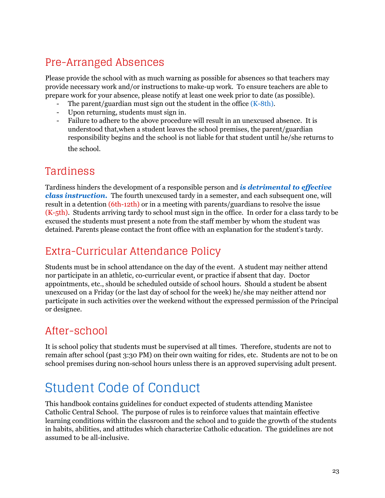### <span id="page-22-0"></span>Pre-Arranged Absences

Please provide the school with as much warning as possible for absences so that teachers may provide necessary work and/or instructions to make-up work. To ensure teachers are able to prepare work for your absence, please notify at least one week prior to date (as possible).

- The parent/guardian must sign out the student in the office  $(K-8th)$ .
- Upon returning, students must sign in.
- Failure to adhere to the above procedure will result in an unexcused absence. It is understood that,when a student leaves the school premises, the parent/guardian responsibility begins and the school is not liable for that student until he/she returns to

the school.

### <span id="page-22-1"></span>Tardiness

Tardiness hinders the development of a responsible person and *is detrimental to ef ective class instruction.* The fourth unexcused tardy in a semester, and each subsequent one, will result in a detention (6th-12th) or in a meeting with parents/guardians to resolve the issue (K-5th). Students arriving tardy to school must sign in the office. In order for a class tardy to be excused the students must present a note from the staff member by whom the student was detained. Parents please contact the front office with an explanation for the student's tardy.

### <span id="page-22-2"></span>Extra-Curricular Attendance Policy

Students must be in school attendance on the day of the event. A student may neither attend nor participate in an athletic, co-curricular event, or practice if absent that day. Doctor appointments, etc., should be scheduled outside of school hours. Should a student be absent unexcused on a Friday (or the last day of school for the week) he/she may neither attend nor participate in such activities over the weekend without the expressed permission of the Principal or designee.

### <span id="page-22-3"></span>After-school

It is school policy that students must be supervised at all times. Therefore, students are not to remain after school (past 3:30 PM) on their own waiting for rides, etc. Students are not to be on school premises during non-school hours unless there is an approved supervising adult present.

## <span id="page-22-4"></span>Student Code of Conduct

This handbook contains guidelines for conduct expected of students attending Manistee Catholic Central School. The purpose of rules is to reinforce values that maintain effective learning conditions within the classroom and the school and to guide the growth of the students in habits, abilities, and attitudes which characterize Catholic education. The guidelines are not assumed to be all-inclusive.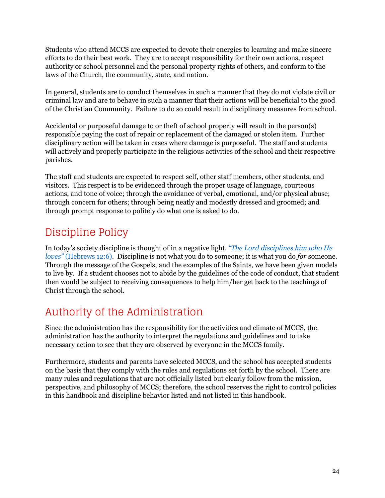Students who attend MCCS are expected to devote their energies to learning and make sincere efforts to do their best work. They are to accept responsibility for their own actions, respect authority or school personnel and the personal property rights of others, and conform to the laws of the Church, the community, state, and nation.

In general, students are to conduct themselves in such a manner that they do not violate civil or criminal law and are to behave in such a manner that their actions will be beneficial to the good of the Christian Community. Failure to do so could result in disciplinary measures from school.

Accidental or purposeful damage to or theft of school property will result in the person(s) responsible paying the cost of repair or replacement of the damaged or stolen item. Further disciplinary action will be taken in cases where damage is purposeful. The staff and students will actively and properly participate in the religious activities of the school and their respective parishes.

The staff and students are expected to respect self, other staff members, other students, and visitors. This respect is to be evidenced through the proper usage of language, courteous actions, and tone of voice; through the avoidance of verbal, emotional, and/or physical abuse; through concern for others; through being neatly and modestly dressed and groomed; and through prompt response to politely do what one is asked to do.

### <span id="page-23-0"></span>Discipline Policy

In today's society discipline is thought of in a negative light. *"The Lord disciplines him who He loves"* (Hebrews 12:6). Discipline is not what you do to someone; it is what you do *for* someone. Through the message of the Gospels, and the examples of the Saints, we have been given models to live by. If a student chooses not to abide by the guidelines of the code of conduct, that student then would be subject to receiving consequences to help him/her get back to the teachings of Christ through the school.

## <span id="page-23-1"></span>Authority of the Administration

Since the administration has the responsibility for the activities and climate of MCCS, the administration has the authority to interpret the regulations and guidelines and to take necessary action to see that they are observed by everyone in the MCCS family.

Furthermore, students and parents have selected MCCS, and the school has accepted students on the basis that they comply with the rules and regulations set forth by the school. There are many rules and regulations that are not officially listed but clearly follow from the mission, perspective, and philosophy of MCCS; therefore, the school reserves the right to control policies in this handbook and discipline behavior listed and not listed in this handbook.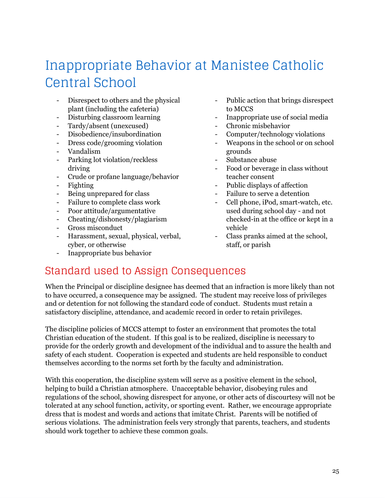## <span id="page-24-0"></span>Inappropriate Behavior at Manistee Catholic Central School

- Disrespect to others and the physical plant (including the cafeteria)
- Disturbing classroom learning
- Tardy/absent (unexcused)
- Disobedience/insubordination
- Dress code/grooming violation
- Vandalism
- Parking lot violation/reckless driving
- Crude or profane language/behavior
- Fighting
- Being unprepared for class
- Failure to complete class work
- Poor attitude/argumentative
- Cheating/dishonesty/plagiarism
- Gross misconduct
- Harassment, sexual, physical, verbal, cyber, or otherwise
- Inappropriate bus behavior
- Public action that brings disrespect to MCCS
- Inappropriate use of social media
- Chronic misbehavior
- Computer/technology violations
- Weapons in the school or on school grounds
- Substance abuse
- Food or beverage in class without teacher consent
- Public displays of affection
- Failure to serve a detention
- Cell phone, iPod, smart-watch, etc. used during school day - and not checked-in at the office or kept in a vehicle
- Class pranks aimed at the school, staff, or parish

### <span id="page-24-1"></span>Standard used to Assign Consequences

When the Principal or discipline designee has deemed that an infraction is more likely than not to have occurred, a consequence may be assigned. The student may receive loss of privileges and or detention for not following the standard code of conduct. Students must retain a satisfactory discipline, attendance, and academic record in order to retain privileges.

The discipline policies of MCCS attempt to foster an environment that promotes the total Christian education of the student. If this goal is to be realized, discipline is necessary to provide for the orderly growth and development of the individual and to assure the health and safety of each student. Cooperation is expected and students are held responsible to conduct themselves according to the norms set forth by the faculty and administration.

With this cooperation, the discipline system will serve as a positive element in the school, helping to build a Christian atmosphere. Unacceptable behavior, disobeying rules and regulations of the school, showing disrespect for anyone, or other acts of discourtesy will not be tolerated at any school function, activity, or sporting event. Rather, we encourage appropriate dress that is modest and words and actions that imitate Christ. Parents will be notified of serious violations. The administration feels very strongly that parents, teachers, and students should work together to achieve these common goals.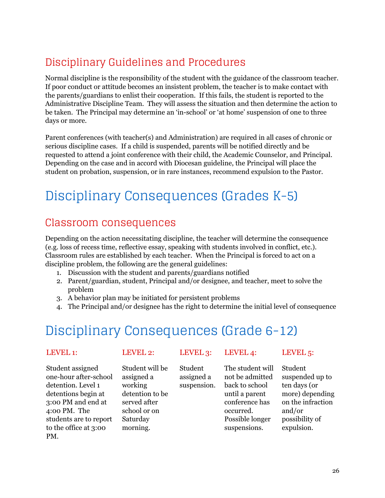### <span id="page-25-0"></span>Disciplinary Guidelines and Procedures

Normal discipline is the responsibility of the student with the guidance of the classroom teacher. If poor conduct or attitude becomes an insistent problem, the teacher is to make contact with the parents/guardians to enlist their cooperation. If this fails, the student is reported to the Administrative Discipline Team. They will assess the situation and then determine the action to be taken. The Principal may determine an 'in-school' or 'at home' suspension of one to three days or more.

Parent conferences (with teacher(s) and Administration) are required in all cases of chronic or serious discipline cases. If a child is suspended, parents will be notified directly and be requested to attend a joint conference with their child, the Academic Counselor, and Principal. Depending on the case and in accord with Diocesan guideline, the Principal will place the student on probation, suspension, or in rare instances, recommend expulsion to the Pastor.

## <span id="page-25-1"></span>Disciplinary Consequences (Grades K-5)

### <span id="page-25-2"></span>Classroom consequences

Depending on the action necessitating discipline, the teacher will determine the consequence (e.g. loss of recess time, reflective essay, speaking with students involved in conflict, etc.). Classroom rules are established by each teacher. When the Principal is forced to act on a discipline problem, the following are the general guidelines:

- 1. Discussion with the student and parents/guardians notified
- 2. Parent/guardian, student, Principal and/or designee, and teacher, meet to solve the problem
- 3. A behavior plan may be initiated for persistent problems
- 4. The Principal and/or designee has the right to determine the initial level of consequence

## <span id="page-25-3"></span>Disciplinary Consequences (Grade 6-12)

Student assigned one-hour after-school detention. Level 1 detentions begin at 3:00 PM and end at 4:00 PM. The students are to report to the office at 3:00 PM.

working

school or on Saturday morning.

Student will be assigned a detention to be served after Student assigned a suspension.

LEVEL 1: LEVEL 2: LEVEL 3: LEVEL 4: LEVEL 5:

The student will not be admitted back to school until a parent conference has occurred. Possible longer suspensions.

Student suspended up to ten days (or more) depending on the infraction and/or possibility of expulsion.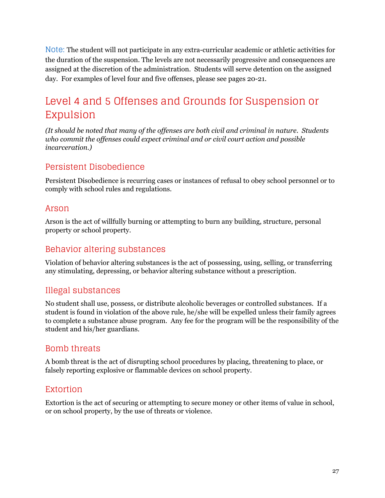Note: The student will not participate in any extra-curricular academic or athletic activities for the duration of the suspension. The levels are not necessarily progressive and consequences are assigned at the discretion of the administration. Students will serve detention on the assigned day. For examples of level four and five offenses, please see pages 20-21.

### <span id="page-26-0"></span>Level 4 and 5 Offenses and Grounds for Suspension or Expulsion

*(It should be noted that many of the of enses are both civil and criminal in nature. Students who commit the of enses could expect criminal and or civil court action and possible incarceration.)*

#### <span id="page-26-1"></span>Persistent Disobedience

Persistent Disobedience is recurring cases or instances of refusal to obey school personnel or to comply with school rules and regulations.

#### <span id="page-26-2"></span>Arson

Arson is the act of willfully burning or attempting to burn any building, structure, personal property or school property.

#### <span id="page-26-3"></span>Behavior altering substances

Violation of behavior altering substances is the act of possessing, using, selling, or transferring any stimulating, depressing, or behavior altering substance without a prescription.

#### <span id="page-26-4"></span>Illegal substances

No student shall use, possess, or distribute alcoholic beverages or controlled substances. If a student is found in violation of the above rule, he/she will be expelled unless their family agrees to complete a substance abuse program. Any fee for the program will be the responsibility of the student and his/her guardians.

#### <span id="page-26-5"></span>Bomb threats

A bomb threat is the act of disrupting school procedures by placing, threatening to place, or falsely reporting explosive or flammable devices on school property.

#### <span id="page-26-6"></span>Extortion

Extortion is the act of securing or attempting to secure money or other items of value in school, or on school property, by the use of threats or violence.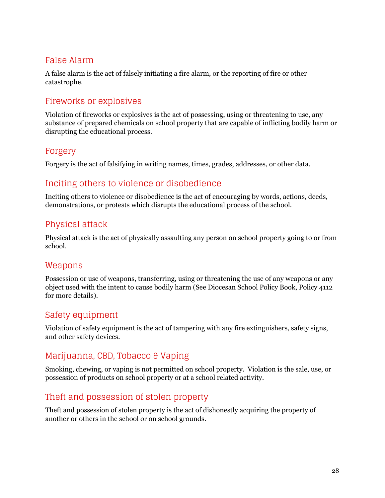#### <span id="page-27-0"></span>False Alarm

A false alarm is the act of falsely initiating a fire alarm, or the reporting of fire or other catastrophe.

#### <span id="page-27-1"></span>Fireworks or explosives

Violation of fireworks or explosives is the act of possessing, using or threatening to use, any substance of prepared chemicals on school property that are capable of inflicting bodily harm or disrupting the educational process.

#### <span id="page-27-2"></span>Forgery

<span id="page-27-3"></span>Forgery is the act of falsifying in writing names, times, grades, addresses, or other data.

#### Inciting others to violence or disobedience

Inciting others to violence or disobedience is the act of encouraging by words, actions, deeds, demonstrations, or protests which disrupts the educational process of the school.

#### <span id="page-27-4"></span>Physical attack

Physical attack is the act of physically assaulting any person on school property going to or from school.

#### <span id="page-27-5"></span>Weapons

Possession or use of weapons, transferring, using or threatening the use of any weapons or any object used with the intent to cause bodily harm (See Diocesan School Policy Book, Policy 4112 for more details).

#### <span id="page-27-6"></span>Safety equipment

Violation of safety equipment is the act of tampering with any fire extinguishers, safety signs, and other safety devices.

### <span id="page-27-7"></span>Marijuanna, CBD, Tobacco & Vaping

Smoking, chewing, or vaping is not permitted on school property. Violation is the sale, use, or possession of products on school property or at a school related activity.

#### <span id="page-27-8"></span>Theft and possession of stolen property

Theft and possession of stolen property is the act of dishonestly acquiring the property of another or others in the school or on school grounds.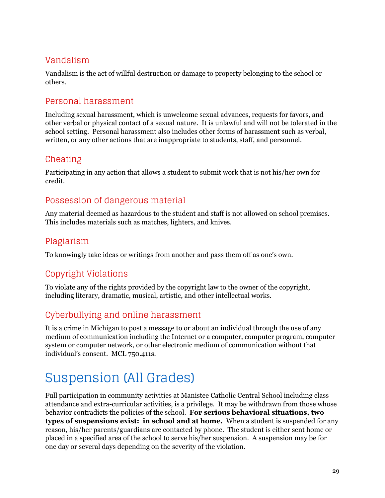### <span id="page-28-0"></span>Vandalism

Vandalism is the act of willful destruction or damage to property belonging to the school or others.

#### <span id="page-28-1"></span>Personal harassment

Including sexual harassment, which is unwelcome sexual advances, requests for favors, and other verbal or physical contact of a sexual nature. It is unlawful and will not be tolerated in the school setting. Personal harassment also includes other forms of harassment such as verbal, written, or any other actions that are inappropriate to students, staff, and personnel.

#### <span id="page-28-2"></span>Cheating

Participating in any action that allows a student to submit work that is not his/her own for credit.

#### <span id="page-28-3"></span>Possession of dangerous material

Any material deemed as hazardous to the student and staff is not allowed on school premises. This includes materials such as matches, lighters, and knives.

### <span id="page-28-4"></span>Plagiarism

<span id="page-28-5"></span>To knowingly take ideas or writings from another and pass them off as one's own.

### Copyright Violations

To violate any of the rights provided by the copyright law to the owner of the copyright, including literary, dramatic, musical, artistic, and other intellectual works.

### <span id="page-28-6"></span>Cyberbullying and online harassment

It is a crime in Michigan to post a message to or about an individual through the use of any medium of communication including the Internet or a computer, computer program, computer system or computer network, or other electronic medium of communication without that individual's consent. MCL 750.411s.

## <span id="page-28-7"></span>Suspension (All Grades)

Full participation in community activities at Manistee Catholic Central School including class attendance and extra-curricular activities, is a privilege. It may be withdrawn from those whose behavior contradicts the policies of the school. **For serious behavioral situations, two types of suspensions exist: in school and at home.** When a student is suspended for any reason, his/her parents/guardians are contacted by phone. The student is either sent home or placed in a specified area of the school to serve his/her suspension. A suspension may be for one day or several days depending on the severity of the violation.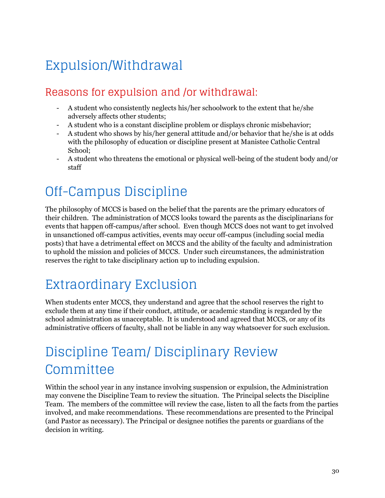# <span id="page-29-0"></span>Expulsion/Withdrawal

### <span id="page-29-1"></span>Reasons for expulsion and /or withdrawal:

- A student who consistently neglects his/her schoolwork to the extent that he/she adversely affects other students;
- A student who is a constant discipline problem or displays chronic misbehavior;
- A student who shows by his/her general attitude and/or behavior that he/she is at odds with the philosophy of education or discipline present at Manistee Catholic Central School;
- A student who threatens the emotional or physical well-being of the student body and/or staff

## <span id="page-29-2"></span>Off-Campus Discipline

The philosophy of MCCS is based on the belief that the parents are the primary educators of their children. The administration of MCCS looks toward the parents as the disciplinarians for events that happen off-campus/after school. Even though MCCS does not want to get involved in unsanctioned off-campus activities, events may occur off-campus (including social media posts) that have a detrimental effect on MCCS and the ability of the faculty and administration to uphold the mission and policies of MCCS. Under such circumstances, the administration reserves the right to take disciplinary action up to including expulsion.

## <span id="page-29-3"></span>Extraordinary Exclusion

When students enter MCCS, they understand and agree that the school reserves the right to exclude them at any time if their conduct, attitude, or academic standing is regarded by the school administration as unacceptable. It is understood and agreed that MCCS, or any of its administrative officers of faculty, shall not be liable in any way whatsoever for such exclusion.

## <span id="page-29-4"></span>Discipline Team/ Disciplinary Review Committee

Within the school year in any instance involving suspension or expulsion, the Administration may convene the Discipline Team to review the situation. The Principal selects the Discipline Team. The members of the committee will review the case, listen to all the facts from the parties involved, and make recommendations. These recommendations are presented to the Principal (and Pastor as necessary). The Principal or designee notifies the parents or guardians of the decision in writing.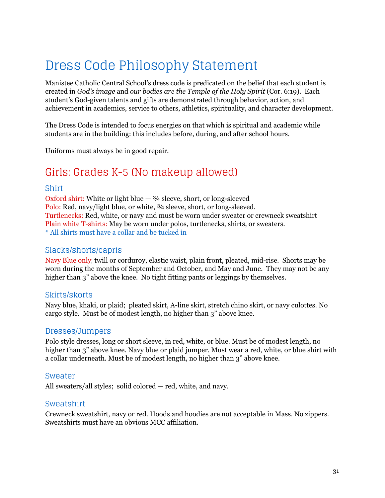## <span id="page-30-0"></span>Dress Code Philosophy Statement

Manistee Catholic Central School's dress code is predicated on the belief that each student is created in *God's image* and *our bodies are the Temple of the Holy Spirit* (Cor. 6:19). Each student's God-given talents and gifts are demonstrated through behavior, action, and achievement in academics, service to others, athletics, spirituality, and character development.

The Dress Code is intended to focus energies on that which is spiritual and academic while students are in the building: this includes before, during, and after school hours.

<span id="page-30-1"></span>Uniforms must always be in good repair.

### Girls: Grades K-5 (No makeup allowed)

#### Shirt

Oxford shirt: White or light blue  $-3/4$  sleeve, short, or long-sleeved Polo: Red, navy/light blue, or white,  $\frac{3}{4}$  sleeve, short, or long-sleeved. Turtlenecks: Red, white, or navy and must be worn under sweater or crewneck sweatshirt Plain white T-shirts: May be worn under polos, turtlenecks, shirts, or sweaters. \* All shirts must have a collar and be tucked in

#### Slacks/shorts/capris

Navy Blue only; twill or corduroy, elastic waist, plain front, pleated, mid-rise. Shorts may be worn during the months of September and October, and May and June. They may not be any higher than 3" above the knee. No tight fitting pants or leggings by themselves.

#### Skirts/skorts

Navy blue, khaki, or plaid; pleated skirt, A-line skirt, stretch chino skirt, or navy culottes. No cargo style. Must be of modest length, no higher than 3" above knee.

#### Dresses/Jumpers

Polo style dresses, long or short sleeve, in red, white, or blue. Must be of modest length, no higher than 3" above knee. Navy blue or plaid jumper. Must wear a red, white, or blue shirt with a collar underneath. Must be of modest length, no higher than 3" above knee.

#### Sweater

All sweaters/all styles; solid colored — red, white, and navy.

#### Sweatshirt

Crewneck sweatshirt, navy or red. Hoods and hoodies are not acceptable in Mass. No zippers. Sweatshirts must have an obvious MCC affiliation.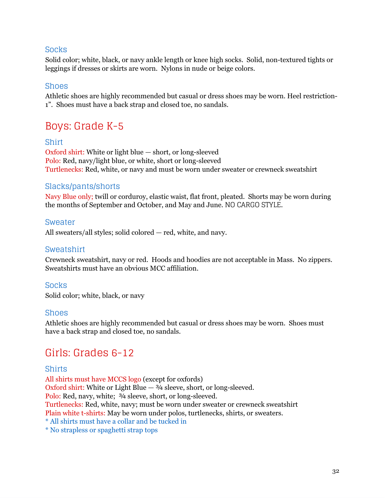#### Socks

Solid color; white, black, or navy ankle length or knee high socks. Solid, non-textured tights or leggings if dresses or skirts are worn. Nylons in nude or beige colors.

#### Shoes

Athletic shoes are highly recommended but casual or dress shoes may be worn. Heel restriction-1". Shoes must have a back strap and closed toe, no sandals.

### <span id="page-31-0"></span>Boys: Grade K-5

#### Shirt

Oxford shirt: White or light blue — short, or long-sleeved Polo: Red, navy/light blue, or white, short or long-sleeved Turtlenecks: Red, white, or navy and must be worn under sweater or crewneck sweatshirt

#### Slacks/pants/shorts

Navy Blue only; twill or corduroy, elastic waist, flat front, pleated. Shorts may be worn during the months of September and October, and May and June. NO CARGO STYLE.

#### Sweater

All sweaters/all styles; solid colored — red, white, and navy.

#### Sweatshirt

Crewneck sweatshirt, navy or red. Hoods and hoodies are not acceptable in Mass. No zippers. Sweatshirts must have an obvious MCC affiliation.

#### Socks

Solid color; white, black, or navy

#### Shoes

Athletic shoes are highly recommended but casual or dress shoes may be worn. Shoes must have a back strap and closed toe, no sandals.

### <span id="page-31-1"></span>Girls: Grades 6-12

#### Shirts

All shirts must have MCCS logo (except for oxfords) Oxford shirt: White or Light Blue  $-3/4$  sleeve, short, or long-sleeved. Polo: Red, navy, white;  $\frac{3}{4}$  sleeve, short, or long-sleeved. Turtlenecks: Red, white, navy; must be worn under sweater or crewneck sweatshirt Plain white t-shirts: May be worn under polos, turtlenecks, shirts, or sweaters. \* All shirts must have a collar and be tucked in

\* No strapless or spaghetti strap tops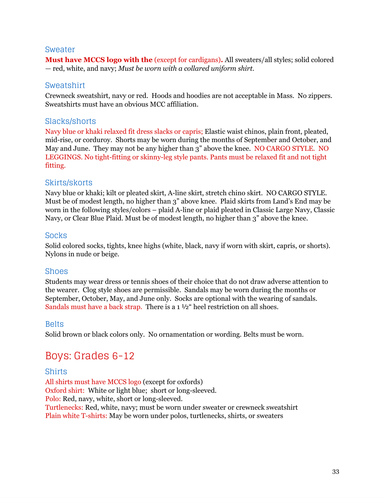#### Sweater

**Must have MCCS logo with the** (except for cardigans)**.** All sweaters/all styles; solid colored — red, white, and navy; *Must be worn with a collared uniform shirt.*

#### Sweatshirt

Crewneck sweatshirt, navy or red. Hoods and hoodies are not acceptable in Mass. No zippers. Sweatshirts must have an obvious MCC affiliation.

#### Slacks/shorts

Navy blue or khaki relaxed fit dress slacks or capris; Elastic waist chinos, plain front, pleated, mid-rise, or corduroy. Shorts may be worn during the months of September and October, and May and June. They may not be any higher than 3" above the knee. NO CARGO STYLE. NO LEGGINGS. No tight-fitting or skinny-leg style pants. Pants must be relaxed fit and not tight fitting.

#### Skirts/skorts

Navy blue or khaki; kilt or pleated skirt, A-line skirt, stretch chino skirt. NO CARGO STYLE. Must be of modest length, no higher than 3" above knee. Plaid skirts from Land's End may be worn in the following styles/colors – plaid A-line or plaid pleated in Classic Large Navy, Classic Navy, or Clear Blue Plaid. Must be of modest length, no higher than 3" above the knee.

#### Socks

Solid colored socks, tights, knee highs (white, black, navy if worn with skirt, capris, or shorts). Nylons in nude or beige.

#### Shoes

Students may wear dress or tennis shoes of their choice that do not draw adverse attention to the wearer. Clog style shoes are permissible. Sandals may be worn during the months or September, October, May, and June only. Socks are optional with the wearing of sandals. Sandals must have a back strap. There is a 1  $\frac{1}{2}$  heel restriction on all shoes.

#### Belts

<span id="page-32-0"></span>Solid brown or black colors only. No ornamentation or wording. Belts must be worn.

### Boys: Grades 6-12

#### Shirts

All shirts must have MCCS logo (except for oxfords) Oxford shirt: White or light blue; short or long-sleeved. Polo: Red, navy, white, short or long-sleeved. Turtlenecks: Red, white, navy; must be worn under sweater or crewneck sweatshirt Plain white T-shirts: May be worn under polos, turtlenecks, shirts, or sweaters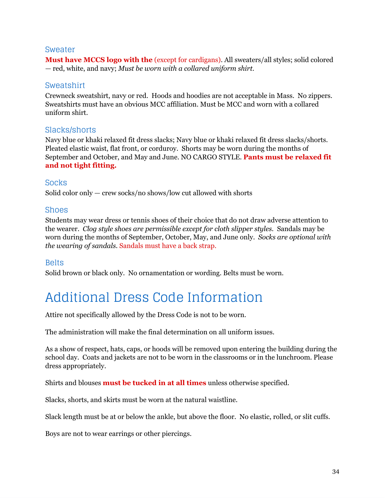#### Sweater

**Must have MCCS logo with the** (except for cardigans). All sweaters/all styles; solid colored — red, white, and navy; *Must be worn with a collared uniform shirt.*

#### Sweatshirt

Crewneck sweatshirt, navy or red. Hoods and hoodies are not acceptable in Mass. No zippers. Sweatshirts must have an obvious MCC affiliation. Must be MCC and worn with a collared uniform shirt.

#### Slacks/shorts

Navy blue or khaki relaxed fit dress slacks; Navy blue or khaki relaxed fit dress slacks/shorts. Pleated elastic waist, flat front, or corduroy. Shorts may be worn during the months of September and October, and May and June. NO CARGO STYLE. **Pants must be relaxed fit and not tight fitting.**

#### Socks

Solid color only — crew socks/no shows/low cut allowed with shorts

#### Shoes

Students may wear dress or tennis shoes of their choice that do not draw adverse attention to the wearer. *Clog style shoes are permissible except for cloth slipper styles.* Sandals may be worn during the months of September, October, May, and June only. *Socks are optional with the wearing of sandals.* Sandals must have a back strap.

#### Belts

<span id="page-33-0"></span>Solid brown or black only. No ornamentation or wording. Belts must be worn.

## Additional Dress Code Information

Attire not specifically allowed by the Dress Code is not to be worn.

The administration will make the final determination on all uniform issues.

As a show of respect, hats, caps, or hoods will be removed upon entering the building during the school day. Coats and jackets are not to be worn in the classrooms or in the lunchroom. Please dress appropriately.

Shirts and blouses **must be tucked in at all times** unless otherwise specified.

Slacks, shorts, and skirts must be worn at the natural waistline.

Slack length must be at or below the ankle, but above the floor. No elastic, rolled, or slit cuffs.

Boys are not to wear earrings or other piercings.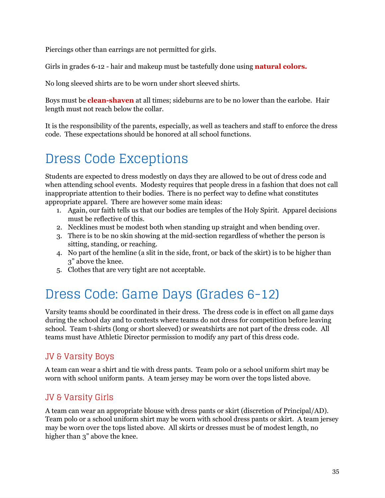Piercings other than earrings are not permitted for girls.

Girls in grades 6-12 - hair and makeup must be tastefully done using **natural colors.**

No long sleeved shirts are to be worn under short sleeved shirts.

Boys must be **clean-shaven** at all times; sideburns are to be no lower than the earlobe. Hair length must not reach below the collar.

It is the responsibility of the parents, especially, as well as teachers and staff to enforce the dress code. These expectations should be honored at all school functions.

## <span id="page-34-0"></span>Dress Code Exceptions

Students are expected to dress modestly on days they are allowed to be out of dress code and when attending school events. Modesty requires that people dress in a fashion that does not call inappropriate attention to their bodies. There is no perfect way to define what constitutes appropriate apparel. There are however some main ideas:

- 1. Again, our faith tells us that our bodies are temples of the Holy Spirit. Apparel decisions must be reflective of this.
- 2. Necklines must be modest both when standing up straight and when bending over.
- 3. There is to be no skin showing at the mid-section regardless of whether the person is sitting, standing, or reaching.
- 4. No part of the hemline (a slit in the side, front, or back of the skirt) is to be higher than 3" above the knee.
- 5. Clothes that are very tight are not acceptable.

## <span id="page-34-1"></span>Dress Code: Game Days (Grades 6-12)

Varsity teams should be coordinated in their dress. The dress code is in effect on all game days during the school day and to contests where teams do not dress for competition before leaving school. Team t-shirts (long or short sleeved) or sweatshirts are not part of the dress code. All teams must have Athletic Director permission to modify any part of this dress code.

#### <span id="page-34-2"></span>JV & Varsity Boys

A team can wear a shirt and tie with dress pants. Team polo or a school uniform shirt may be worn with school uniform pants. A team jersey may be worn over the tops listed above.

#### <span id="page-34-3"></span>JV & Varsity Girls

A team can wear an appropriate blouse with dress pants or skirt (discretion of Principal/AD). Team polo or a school uniform shirt may be worn with school dress pants or skirt. A team jersey may be worn over the tops listed above. All skirts or dresses must be of modest length, no higher than 3" above the knee.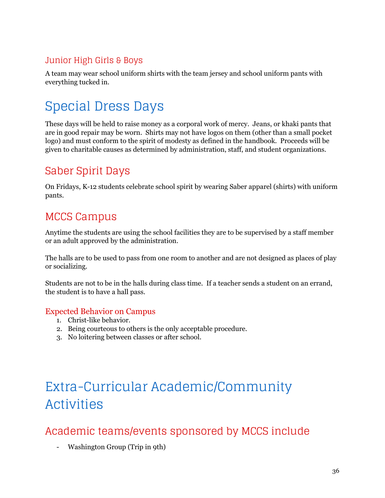### <span id="page-35-0"></span>Junior High Girls & Boys

A team may wear school uniform shirts with the team jersey and school uniform pants with everything tucked in.

## <span id="page-35-1"></span>Special Dress Days

These days will be held to raise money as a corporal work of mercy. Jeans, or khaki pants that are in good repair may be worn. Shirts may not have logos on them (other than a small pocket logo) and must conform to the spirit of modesty as defined in the handbook. Proceeds will be given to charitable causes as determined by administration, staff, and student organizations.

### <span id="page-35-2"></span>Saber Spirit Days

On Fridays, K-12 students celebrate school spirit by wearing Saber apparel (shirts) with uniform pants.

### <span id="page-35-3"></span>MCCS Campus

Anytime the students are using the school facilities they are to be supervised by a staff member or an adult approved by the administration.

The halls are to be used to pass from one room to another and are not designed as places of play or socializing.

Students are not to be in the halls during class time. If a teacher sends a student on an errand, the student is to have a hall pass.

#### <span id="page-35-4"></span>Expected Behavior on Campus

- 1. Christ-like behavior.
- 2. Being courteous to others is the only acceptable procedure.
- 3. No loitering between classes or after school.

# <span id="page-35-5"></span>Extra-Curricular Academic/Community Activities

### <span id="page-35-6"></span>Academic teams/events sponsored by MCCS include

- Washington Group (Trip in 9th)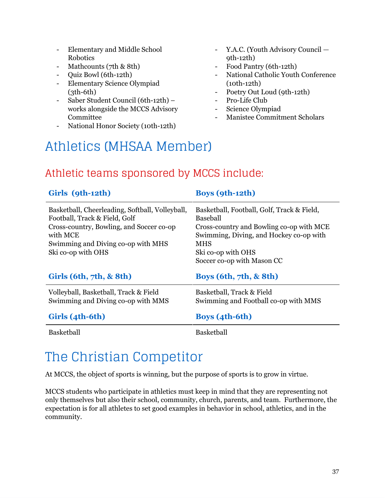- Elementary and Middle School Robotics
- Mathcounts (7th & 8th)
- Quiz Bowl (6th-12th)
- Elementary Science Olympiad  $(3th-6th)$
- Saber Student Council (6th-12th) works alongside the MCCS Advisory Committee
- National Honor Society (10th-12th)
- Y.A.C. (Youth Advisory Council 9th-12th)
- Food Pantry (6th-12th)
- National Catholic Youth Conference (10th-12th)
- Poetry Out Loud (9th-12th)
- Pro-Life Club
- Science Olympiad
- Manistee Commitment Scholars

## <span id="page-36-0"></span>Athletics (MHSAA Member)

### <span id="page-36-1"></span>Athletic teams sponsored by MCCS include:

| Girls (9th-12th)                                                                                                                                                                                     | <b>Boys (9th-12th)</b>                                                                                                                                                                                          |  |
|------------------------------------------------------------------------------------------------------------------------------------------------------------------------------------------------------|-----------------------------------------------------------------------------------------------------------------------------------------------------------------------------------------------------------------|--|
| Basketball, Cheerleading, Softball, Volleyball,<br>Football, Track & Field, Golf<br>Cross-country, Bowling, and Soccer co-op<br>with MCE<br>Swimming and Diving co-op with MHS<br>Ski co-op with OHS | Basketball, Football, Golf, Track & Field,<br>Baseball<br>Cross-country and Bowling co-op with MCE<br>Swimming, Diving, and Hockey co-op with<br><b>MHS</b><br>Ski co-op with OHS<br>Soccer co-op with Mason CC |  |
| Girls (6th, 7th, & 8th)                                                                                                                                                                              | Boys $(6th, 7th, \& 8th)$                                                                                                                                                                                       |  |
| Volleyball, Basketball, Track & Field<br>Swimming and Diving co-op with MMS                                                                                                                          | Basketball, Track & Field<br>Swimming and Football co-op with MMS                                                                                                                                               |  |
| Girls (4th-6th)                                                                                                                                                                                      | <b>Boys</b> (4th-6th)                                                                                                                                                                                           |  |
| <b>Basketball</b>                                                                                                                                                                                    | <b>Basketball</b>                                                                                                                                                                                               |  |

## <span id="page-36-2"></span>The Christian Competitor

At MCCS, the object of sports is winning, but the purpose of sports is to grow in virtue.

MCCS students who participate in athletics must keep in mind that they are representing not only themselves but also their school, community, church, parents, and team. Furthermore, the expectation is for all athletes to set good examples in behavior in school, athletics, and in the community.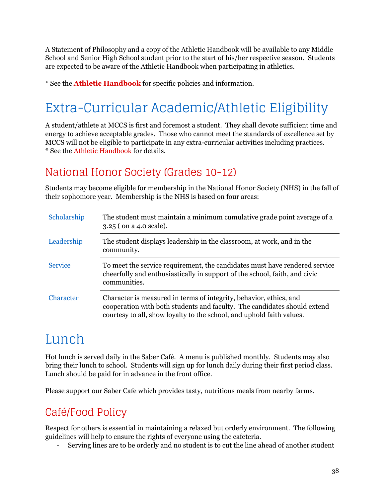A Statement of Philosophy and a copy of the Athletic Handbook will be available to any Middle School and Senior High School student prior to the start of his/her respective season. Students are expected to be aware of the Athletic Handbook when participating in athletics.

<span id="page-37-0"></span>\* See the **Athletic Handbook** for specific policies and information.

## Extra-Curricular Academic/Athletic Eligibility

A student/athlete at MCCS is first and foremost a student. They shall devote sufficient time and energy to achieve acceptable grades. Those who cannot meet the standards of excellence set by MCCS will not be eligible to participate in any extra-curricular activities including practices. \* See the Athletic Handbook for details.

### <span id="page-37-1"></span>National Honor Society (Grades 10-12)

Students may become eligible for membership in the National Honor Society (NHS) in the fall of their sophomore year. Membership is the NHS is based on four areas:

| Scholarship    | The student must maintain a minimum cumulative grade point average of a<br>$3.25$ (on a 4.0 scale).                                                                                                                     |
|----------------|-------------------------------------------------------------------------------------------------------------------------------------------------------------------------------------------------------------------------|
| Leadership     | The student displays leadership in the classroom, at work, and in the<br>community.                                                                                                                                     |
| <b>Service</b> | To meet the service requirement, the candidates must have rendered service<br>cheerfully and enthusiastically in support of the school, faith, and civic<br>communities.                                                |
| Character      | Character is measured in terms of integrity, behavior, ethics, and<br>cooperation with both students and faculty. The candidates should extend<br>courtesy to all, show loyalty to the school, and uphold faith values. |

## <span id="page-37-2"></span>Lunch

Hot lunch is served daily in the Saber Café. A menu is published monthly. Students may also bring their lunch to school. Students will sign up for lunch daily during their first period class. Lunch should be paid for in advance in the front office.

<span id="page-37-3"></span>Please support our Saber Cafe which provides tasty, nutritious meals from nearby farms.

### Café/Food Policy

Respect for others is essential in maintaining a relaxed but orderly environment. The following guidelines will help to ensure the rights of everyone using the cafeteria.

- Serving lines are to be orderly and no student is to cut the line ahead of another student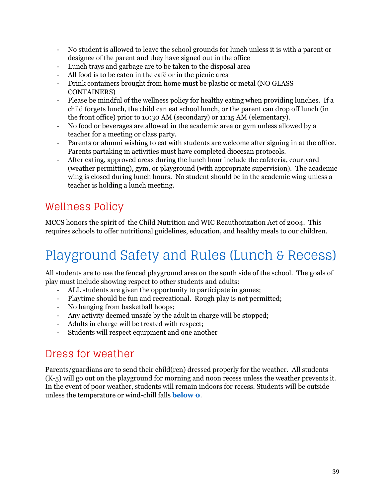- No student is allowed to leave the school grounds for lunch unless it is with a parent or designee of the parent and they have signed out in the office
- Lunch trays and garbage are to be taken to the disposal area
- All food is to be eaten in the café or in the picnic area
- Drink containers brought from home must be plastic or metal (NO GLASS CONTAINERS)
- Please be mindful of the wellness policy for healthy eating when providing lunches. If a child forgets lunch, the child can eat school lunch, or the parent can drop off lunch (in the front office) prior to 10:30 AM (secondary) or 11:15 AM (elementary).
- No food or beverages are allowed in the academic area or gym unless allowed by a teacher for a meeting or class party.
- Parents or alumni wishing to eat with students are welcome after signing in at the office. Parents partaking in activities must have completed diocesan protocols.
- After eating, approved areas during the lunch hour include the cafeteria, courtyard (weather permitting), gym, or playground (with appropriate supervision). The academic wing is closed during lunch hours. No student should be in the academic wing unless a teacher is holding a lunch meeting.

### <span id="page-38-0"></span>Wellness Policy

MCCS honors the spirit of the Child Nutrition and WIC Reauthorization Act of 2004. This requires schools to offer nutritional guidelines, education, and healthy meals to our children.

## <span id="page-38-1"></span>Playground Safety and Rules (Lunch & Recess)

All students are to use the fenced playground area on the south side of the school. The goals of play must include showing respect to other students and adults:

- ALL students are given the opportunity to participate in games;
- Playtime should be fun and recreational. Rough play is not permitted;
- No hanging from basketball hoops;
- Any activity deemed unsafe by the adult in charge will be stopped;
- Adults in charge will be treated with respect;
- Students will respect equipment and one another

### <span id="page-38-2"></span>Dress for weather

Parents/guardians are to send their child(ren) dressed properly for the weather. All students (K-5) will go out on the playground for morning and noon recess unless the weather prevents it. In the event of poor weather, students will remain indoors for recess. Students will be outside unless the temperature or wind-chill falls **below 0**.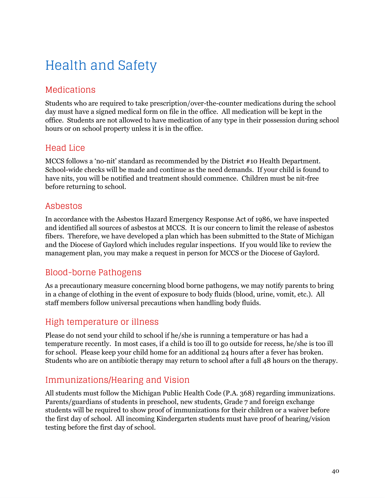# <span id="page-39-0"></span>Health and Safety

#### <span id="page-39-1"></span>Medications

Students who are required to take prescription/over-the-counter medications during the school day must have a signed medical form on file in the office. All medication will be kept in the office. Students are not allowed to have medication of any type in their possession during school hours or on school property unless it is in the office.

#### <span id="page-39-2"></span>Head Lice

MCCS follows a 'no-nit' standard as recommended by the District #10 Health Department. School-wide checks will be made and continue as the need demands. If your child is found to have nits, you will be notified and treatment should commence. Children must be nit-free before returning to school.

#### <span id="page-39-3"></span>Asbestos

In accordance with the Asbestos Hazard Emergency Response Act of 1986, we have inspected and identified all sources of asbestos at MCCS. It is our concern to limit the release of asbestos fibers. Therefore, we have developed a plan which has been submitted to the State of Michigan and the Diocese of Gaylord which includes regular inspections. If you would like to review the management plan, you may make a request in person for MCCS or the Diocese of Gaylord.

### <span id="page-39-4"></span>Blood-borne Pathogens

As a precautionary measure concerning blood borne pathogens, we may notify parents to bring in a change of clothing in the event of exposure to body fluids (blood, urine, vomit, etc.). All staff members follow universal precautions when handling body fluids.

#### <span id="page-39-5"></span>High temperature or illness

Please do not send your child to school if he/she is running a temperature or has had a temperature recently. In most cases, if a child is too ill to go outside for recess, he/she is too ill for school. Please keep your child home for an additional 24 hours after a fever has broken. Students who are on antibiotic therapy may return to school after a full 48 hours on the therapy.

### <span id="page-39-6"></span>Immunizations/Hearing and Vision

All students must follow the Michigan Public Health Code (P.A. 368) regarding immunizations. Parents/guardians of students in preschool, new students, Grade 7 and foreign exchange students will be required to show proof of immunizations for their children or a waiver before the first day of school. All incoming Kindergarten students must have proof of hearing/vision testing before the first day of school.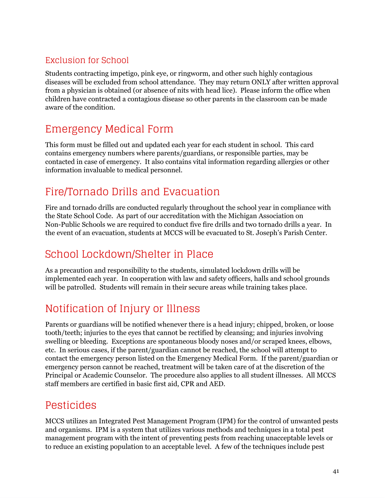#### <span id="page-40-0"></span>Exclusion for School

Students contracting impetigo, pink eye, or ringworm, and other such highly contagious diseases will be excluded from school attendance. They may return ONLY after written approval from a physician is obtained (or absence of nits with head lice). Please inform the office when children have contracted a contagious disease so other parents in the classroom can be made aware of the condition.

### <span id="page-40-1"></span>Emergency Medical Form

This form must be filled out and updated each year for each student in school. This card contains emergency numbers where parents/guardians, or responsible parties, may be contacted in case of emergency. It also contains vital information regarding allergies or other information invaluable to medical personnel.

### <span id="page-40-2"></span>Fire/Tornado Drills and Evacuation

Fire and tornado drills are conducted regularly throughout the school year in compliance with the State School Code. As part of our accreditation with the Michigan Association on Non-Public Schools we are required to conduct five fire drills and two tornado drills a year. In the event of an evacuation, students at MCCS will be evacuated to St. Joseph's Parish Center.

### <span id="page-40-3"></span>School Lockdown/Shelter in Place

As a precaution and responsibility to the students, simulated lockdown drills will be implemented each year. In cooperation with law and safety officers, halls and school grounds will be patrolled. Students will remain in their secure areas while training takes place.

### <span id="page-40-4"></span>Notification of Injury or Illness

Parents or guardians will be notified whenever there is a head injury; chipped, broken, or loose tooth/teeth; injuries to the eyes that cannot be rectified by cleansing; and injuries involving swelling or bleeding. Exceptions are spontaneous bloody noses and/or scraped knees, elbows, etc. In serious cases, if the parent/guardian cannot be reached, the school will attempt to contact the emergency person listed on the Emergency Medical Form. If the parent/guardian or emergency person cannot be reached, treatment will be taken care of at the discretion of the Principal or Academic Counselor. The procedure also applies to all student illnesses. All MCCS staff members are certified in basic first aid, CPR and AED.

### <span id="page-40-5"></span>Pesticides

MCCS utilizes an Integrated Pest Management Program (IPM) for the control of unwanted pests and organisms. IPM is a system that utilizes various methods and techniques in a total pest management program with the intent of preventing pests from reaching unacceptable levels or to reduce an existing population to an acceptable level. A few of the techniques include pest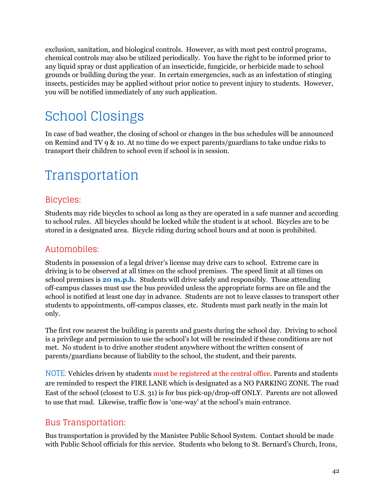exclusion, sanitation, and biological controls. However, as with most pest control programs, chemical controls may also be utilized periodically. You have the right to be informed prior to any liquid spray or dust application of an insecticide, fungicide, or herbicide made to school grounds or building during the year. In certain emergencies, such as an infestation of stinging insects, pesticides may be applied without prior notice to prevent injury to students. However, you will be notified immediately of any such application.

## <span id="page-41-0"></span>School Closings

In case of bad weather, the closing of school or changes in the bus schedules will be announced on Remind and TV 9 & 10. At no time do we expect parents/guardians to take undue risks to transport their children to school even if school is in session.

## <span id="page-41-1"></span>Transportation

#### <span id="page-41-2"></span>Bicycles:

Students may ride bicycles to school as long as they are operated in a safe manner and according to school rules. All bicycles should be locked while the student is at school. Bicycles are to be stored in a designated area. Bicycle riding during school hours and at noon is prohibited.

#### <span id="page-41-3"></span>Automobiles:

Students in possession of a legal driver's license may drive cars to school. Extreme care in driving is to be observed at all times on the school premises. The speed limit at all times on school premises is **20 m.p.h.** Students will drive safely and responsibly. Those attending off-campus classes must use the bus provided unless the appropriate forms are on file and the school is notified at least one day in advance. Students are not to leave classes to transport other students to appointments, off-campus classes, etc. Students must park neatly in the main lot only.

The first row nearest the building is parents and guests during the school day. Driving to school is a privilege and permission to use the school's lot will be rescinded if these conditions are not met. No student is to drive another student anywhere without the written consent of parents/guardians because of liability to the school, the student, and their parents.

NOTE: Vehicles driven by students must be registered at the central office. Parents and students are reminded to respect the FIRE LANE which is designated as a NO PARKING ZONE. The road East of the school (closest to U.S. 31) is for bus pick-up/drop-off ONLY. Parents are not allowed to use that road. Likewise, traffic flow is 'one-way' at the school's main entrance.

#### <span id="page-41-4"></span>Bus Transportation:

Bus transportation is provided by the Manistee Public School System. Contact should be made with Public School officials for this service. Students who belong to St. Bernard's Church, Irons,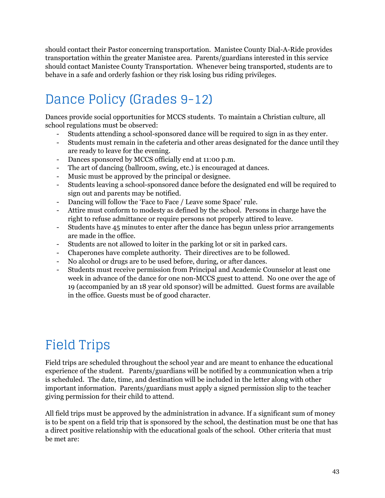should contact their Pastor concerning transportation. Manistee County Dial-A-Ride provides transportation within the greater Manistee area. Parents/guardians interested in this service should contact Manistee County Transportation. Whenever being transported, students are to behave in a safe and orderly fashion or they risk losing bus riding privileges.

## <span id="page-42-0"></span>Dance Policy (Grades 9-12)

Dances provide social opportunities for MCCS students. To maintain a Christian culture, all school regulations must be observed:

- Students attending a school-sponsored dance will be required to sign in as they enter.
- Students must remain in the cafeteria and other areas designated for the dance until they are ready to leave for the evening.
- Dances sponsored by MCCS officially end at 11:00 p.m.
- The art of dancing (ballroom, swing, etc.) is encouraged at dances.
- Music must be approved by the principal or designee.
- Students leaving a school-sponsored dance before the designated end will be required to sign out and parents may be notified.
- Dancing will follow the 'Face to Face / Leave some Space' rule.
- Attire must conform to modesty as defined by the school. Persons in charge have the right to refuse admittance or require persons not properly attired to leave.
- Students have 45 minutes to enter after the dance has begun unless prior arrangements are made in the office.
- Students are not allowed to loiter in the parking lot or sit in parked cars.
- Chaperones have complete authority. Their directives are to be followed.
- No alcohol or drugs are to be used before, during, or after dances.
- Students must receive permission from Principal and Academic Counselor at least one week in advance of the dance for one non-MCCS guest to attend. No one over the age of 19 (accompanied by an 18 year old sponsor) will be admitted. Guest forms are available in the office. Guests must be of good character.

## <span id="page-42-1"></span>Field Trips

Field trips are scheduled throughout the school year and are meant to enhance the educational experience of the student. Parents/guardians will be notified by a communication when a trip is scheduled. The date, time, and destination will be included in the letter along with other important information. Parents/guardians must apply a signed permission slip to the teacher giving permission for their child to attend.

All field trips must be approved by the administration in advance. If a significant sum of money is to be spent on a field trip that is sponsored by the school, the destination must be one that has a direct positive relationship with the educational goals of the school. Other criteria that must be met are: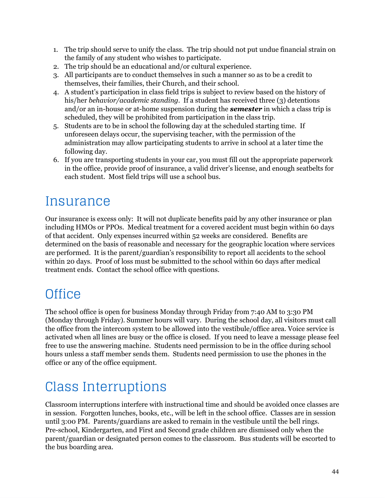- 1. The trip should serve to unify the class. The trip should not put undue financial strain on the family of any student who wishes to participate.
- 2. The trip should be an educational and/or cultural experience.
- 3. All participants are to conduct themselves in such a manner so as to be a credit to themselves, their families, their Church, and their school.
- 4. A student's participation in class field trips is subject to review based on the history of his/her *behavior/academic standing.* If a student has received three (3) detentions and/or an in-house or at-home suspension during the *semester* in which a class trip is scheduled, they will be prohibited from participation in the class trip.
- 5. Students are to be in school the following day at the scheduled starting time. If unforeseen delays occur, the supervising teacher, with the permission of the administration may allow participating students to arrive in school at a later time the following day.
- 6. If you are transporting students in your car, you must fill out the appropriate paperwork in the office, provide proof of insurance, a valid driver's license, and enough seatbelts for each student. Most field trips will use a school bus.

## <span id="page-43-0"></span>Insurance

Our insurance is excess only: It will not duplicate benefits paid by any other insurance or plan including HMOs or PPOs. Medical treatment for a covered accident must begin within 60 days of that accident. Only expenses incurred within 52 weeks are considered. Benefits are determined on the basis of reasonable and necessary for the geographic location where services are performed. It is the parent/guardian's responsibility to report all accidents to the school within 20 days. Proof of loss must be submitted to the school within 60 days after medical treatment ends. Contact the school office with questions.

## <span id="page-43-1"></span>**Office**

The school office is open for business Monday through Friday from 7:40 AM to 3:30 PM (Monday through Friday). Summer hours will vary. During the school day, all visitors must call the office from the intercom system to be allowed into the vestibule/office area. Voice service is activated when all lines are busy or the office is closed. If you need to leave a message please feel free to use the answering machine. Students need permission to be in the office during school hours unless a staff member sends them. Students need permission to use the phones in the office or any of the office equipment.

## <span id="page-43-2"></span>Class Interruptions

Classroom interruptions interfere with instructional time and should be avoided once classes are in session. Forgotten lunches, books, etc., will be left in the school office. Classes are in session until 3:00 PM. Parents/guardians are asked to remain in the vestibule until the bell rings. Pre-school, Kindergarten, and First and Second grade children are dismissed only when the parent/guardian or designated person comes to the classroom. Bus students will be escorted to the bus boarding area.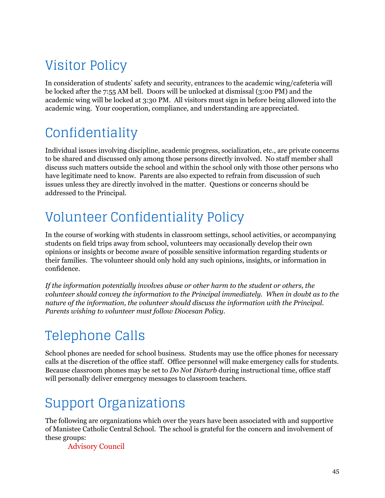# <span id="page-44-0"></span>Visitor Policy

In consideration of students' safety and security, entrances to the academic wing/cafeteria will be locked after the 7:55 AM bell. Doors will be unlocked at dismissal (3:00 PM) and the academic wing will be locked at 3:30 PM. All visitors must sign in before being allowed into the academic wing. Your cooperation, compliance, and understanding are appreciated.

## <span id="page-44-1"></span>Confidentiality

Individual issues involving discipline, academic progress, socialization, etc., are private concerns to be shared and discussed only among those persons directly involved. No staff member shall discuss such matters outside the school and within the school only with those other persons who have legitimate need to know. Parents are also expected to refrain from discussion of such issues unless they are directly involved in the matter. Questions or concerns should be addressed to the Principal.

## <span id="page-44-2"></span>Volunteer Confidentiality Policy

In the course of working with students in classroom settings, school activities, or accompanying students on field trips away from school, volunteers may occasionally develop their own opinions or insights or become aware of possible sensitive information regarding students or their families. The volunteer should only hold any such opinions, insights, or information in confidence.

*If the information potentially involves abuse or other harm to the student or others, the volunteer should convey the information to the Principal immediately. When in doubt as to the nature of the information, the volunteer should discuss the information with the Principal. Parents wishing to volunteer must follow Diocesan Policy.*

## <span id="page-44-3"></span>Telephone Calls

School phones are needed for school business. Students may use the office phones for necessary calls at the discretion of the office staff. Office personnel will make emergency calls for students. Because classroom phones may be set to *Do Not Disturb* during instructional time, office staff will personally deliver emergency messages to classroom teachers.

# <span id="page-44-4"></span>Support Organizations

The following are organizations which over the years have been associated with and supportive of Manistee Catholic Central School. The school is grateful for the concern and involvement of these groups:

Advisory Council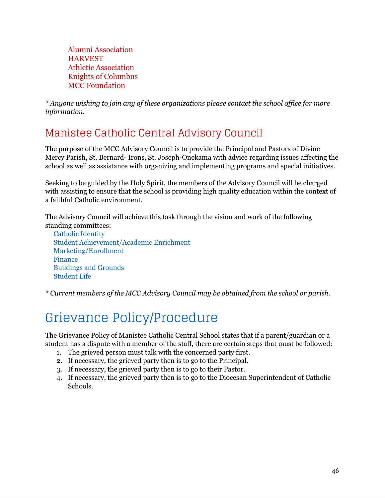Alumni Association **HARVEST** Athletic Association Knights of Columbus MCC Foundation

*\* Anyone wishing to join any of these organizations please contact the school of ice for more information.*

### <span id="page-45-0"></span>Manistee Catholic Central Advisory Council

The purpose of the MCC Advisory Council is to provide the Principal and Pastors of Divine Mercy Parish, St. Bernard- Irons, St. Joseph-Onekama with advice regarding issues affecting the school as well as assistance with organizing and implementing programs and special initiatives.

Seeking to be guided by the Holy Spirit, the members of the Advisory Council will be charged with assisting to ensure that the school is providing high quality education within the context of a faithful Catholic environment.

The Advisory Council will achieve this task through the vision and work of the following standing committees:

Catholic Identity Student Achievement/Academic Enrichment Marketing/Enrollment Finance Buildings and Grounds Student Life

<span id="page-45-1"></span>*\* Current members of the MCC Advisory Council may be obtained from the school or parish.*

## Grievance Policy/Procedure

The Grievance Policy of Manistee Catholic Central School states that if a parent/guardian or a student has a dispute with a member of the staff, there are certain steps that must be followed:

- 1. The grieved person must talk with the concerned party first.
- 2. If necessary, the grieved party then is to go to the Principal.
- 3. If necessary, the grieved party then is to go to their Pastor.
- 4. If necessary, the grieved party then is to go to the Diocesan Superintendent of Catholic Schools.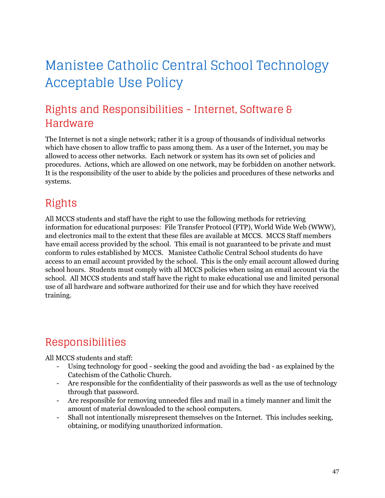## <span id="page-46-0"></span>Manistee Catholic Central School Technology Acceptable Use Policy

### <span id="page-46-1"></span>Rights and Responsibilities - Internet, Software & Hardware

The Internet is not a single network; rather it is a group of thousands of individual networks which have chosen to allow traffic to pass among them. As a user of the Internet, you may be allowed to access other networks. Each network or system has its own set of policies and procedures. Actions, which are allowed on one network, may be forbidden on another network. It is the responsibility of the user to abide by the policies and procedures of these networks and systems.

### <span id="page-46-2"></span>Rights

All MCCS students and staff have the right to use the following methods for retrieving information for educational purposes: File Transfer Protocol (FTP), World Wide Web (WWW), and electronics mail to the extent that these files are available at MCCS. MCCS Staff members have email access provided by the school. This email is not guaranteed to be private and must conform to rules established by MCCS. Manistee Catholic Central School students do have access to an email account provided by the school. This is the only email account allowed during school hours. Students must comply with all MCCS policies when using an email account via the school. All MCCS students and staff have the right to make educational use and limited personal use of all hardware and software authorized for their use and for which they have received training.

### <span id="page-46-3"></span>Responsibilities

All MCCS students and staff:

- Using technology for good seeking the good and avoiding the bad as explained by the Catechism of the Catholic Church.
- Are responsible for the confidentiality of their passwords as well as the use of technology through that password.
- Are responsible for removing unneeded files and mail in a timely manner and limit the amount of material downloaded to the school computers.
- Shall not intentionally misrepresent themselves on the Internet. This includes seeking, obtaining, or modifying unauthorized information.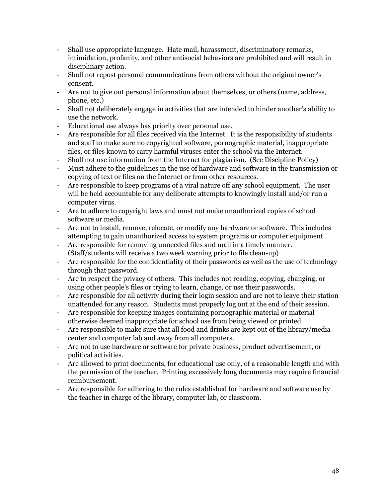- Shall use appropriate language. Hate mail, harassment, discriminatory remarks, intimidation, profanity, and other antisocial behaviors are prohibited and will result in disciplinary action.
- Shall not repost personal communications from others without the original owner's consent.
- Are not to give out personal information about themselves, or others (name, address, phone, etc.)
- Shall not deliberately engage in activities that are intended to hinder another's ability to use the network.
- Educational use always has priority over personal use.
- Are responsible for all files received via the Internet. It is the responsibility of students and staff to make sure no copyrighted software, pornographic material, inappropriate files, or files known to carry harmful viruses enter the school via the Internet.
- Shall not use information from the Internet for plagiarism. (See Discipline Policy)
- Must adhere to the guidelines in the use of hardware and software in the transmission or copying of text or files on the Internet or from other resources.
- Are responsible to keep programs of a viral nature off any school equipment. The user will be held accountable for any deliberate attempts to knowingly install and/or run a computer virus.
- Are to adhere to copyright laws and must not make unauthorized copies of school software or media.
- Are not to install, remove, relocate, or modify any hardware or software. This includes attempting to gain unauthorized access to system programs or computer equipment.
- Are responsible for removing unneeded files and mail in a timely manner. (Staff/students will receive a two week warning prior to file clean-up)
- Are responsible for the confidentiality of their passwords as well as the use of technology through that password.
- Are to respect the privacy of others. This includes not reading, copying, changing, or using other people's files or trying to learn, change, or use their passwords.
- Are responsible for all activity during their login session and are not to leave their station unattended for any reason. Students must properly log out at the end of their session.
- Are responsible for keeping images containing pornographic material or material otherwise deemed inappropriate for school use from being viewed or printed.
- Are responsible to make sure that all food and drinks are kept out of the library/media center and computer lab and away from all computers.
- Are not to use hardware or software for private business, product advertisement, or political activities.
- Are allowed to print documents, for educational use only, of a reasonable length and with the permission of the teacher. Printing excessively long documents may require financial reimbursement.
- Are responsible for adhering to the rules established for hardware and software use by the teacher in charge of the library, computer lab, or classroom.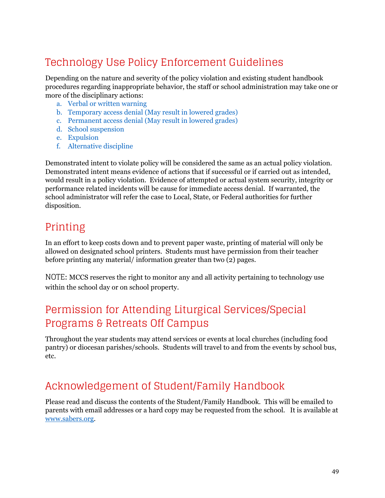### <span id="page-48-0"></span>Technology Use Policy Enforcement Guidelines

Depending on the nature and severity of the policy violation and existing student handbook procedures regarding inappropriate behavior, the staff or school administration may take one or more of the disciplinary actions:

- a. Verbal or written warning
- b. Temporary access denial (May result in lowered grades)
- c. Permanent access denial (May result in lowered grades)
- d. School suspension
- e. Expulsion
- f. Alternative discipline

Demonstrated intent to violate policy will be considered the same as an actual policy violation. Demonstrated intent means evidence of actions that if successful or if carried out as intended, would result in a policy violation. Evidence of attempted or actual system security, integrity or performance related incidents will be cause for immediate access denial. If warranted, the school administrator will refer the case to Local, State, or Federal authorities for further disposition.

### <span id="page-48-1"></span>Printing

In an effort to keep costs down and to prevent paper waste, printing of material will only be allowed on designated school printers. Students must have permission from their teacher before printing any material/ information greater than two (2) pages.

NOTE: MCCS reserves the right to monitor any and all activity pertaining to technology use within the school day or on school property.

### <span id="page-48-2"></span>Permission for Attending Liturgical Services/Special Programs & Retreats Off Campus

Throughout the year students may attend services or events at local churches (including food pantry) or diocesan parishes/schools. Students will travel to and from the events by school bus, etc.

### <span id="page-48-3"></span>Acknowledgement of Student/Family Handbook

Please read and discuss the contents of the Student/Family Handbook. This will be emailed to parents with email addresses or a hard copy may be requested from the school. It is available at [www.sabers.org](http://www.sabers.org/).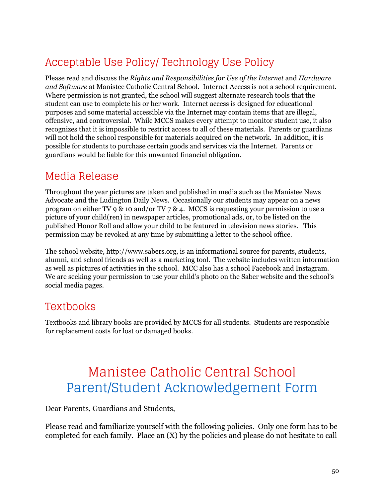## <span id="page-49-0"></span>Acceptable Use Policy/ Technology Use Policy

Please read and discuss the *Rights and Responsibilities for Use of the Internet* and *Hardware and Software* at Manistee Catholic Central School. Internet Access is not a school requirement. Where permission is not granted, the school will suggest alternate research tools that the student can use to complete his or her work. Internet access is designed for educational purposes and some material accessible via the Internet may contain items that are illegal, offensive, and controversial. While MCCS makes every attempt to monitor student use, it also recognizes that it is impossible to restrict access to all of these materials. Parents or guardians will not hold the school responsible for materials acquired on the network. In addition, it is possible for students to purchase certain goods and services via the Internet. Parents or guardians would be liable for this unwanted financial obligation.

### <span id="page-49-1"></span>Media Release

Throughout the year pictures are taken and published in media such as the Manistee News Advocate and the Ludington Daily News. Occasionally our students may appear on a news program on either TV 9 & 10 and/or TV 7 & 4. MCCS is requesting your permission to use a picture of your child(ren) in newspaper articles, promotional ads, or, to be listed on the published Honor Roll and allow your child to be featured in television news stories. This permission may be revoked at any time by submitting a letter to the school office.

The school website, http://www.sabers.org, is an informational source for parents, students, alumni, and school friends as well as a marketing tool. The website includes written information as well as pictures of activities in the school. MCC also has a school Facebook and Instagram. We are seeking your permission to use your child's photo on the Saber website and the school's social media pages.

### <span id="page-49-2"></span>Textbooks

Textbooks and library books are provided by MCCS for all students. Students are responsible for replacement costs for lost or damaged books.

## <span id="page-49-3"></span>Manistee Catholic Central School Parent/Student Acknowledgement Form

Dear Parents, Guardians and Students,

Please read and familiarize yourself with the following policies. Only one form has to be completed for each family. Place an (X) by the policies and please do not hesitate to call